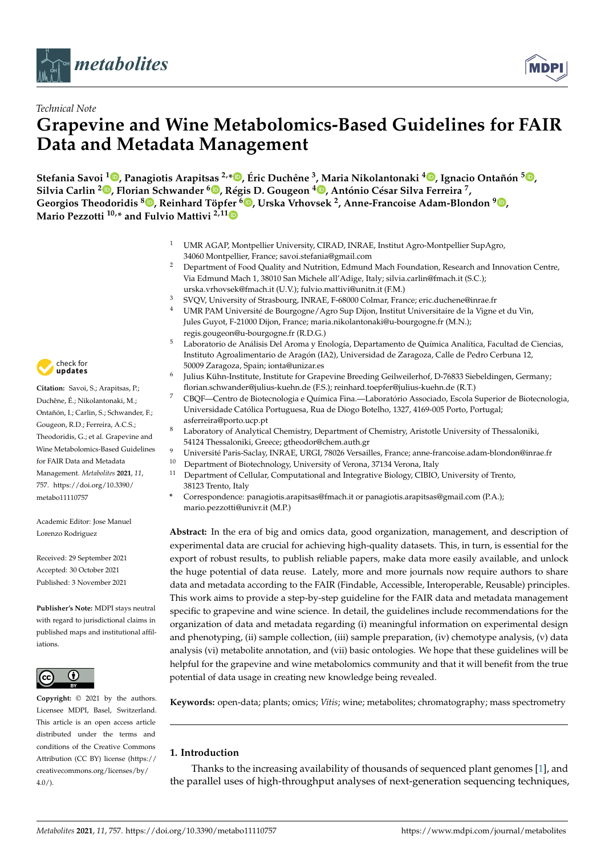



# *Technical Note* **Grapevine and Wine Metabolomics-Based Guidelines for FAIR Data and Metadata Management**

Stefania Savoi <sup>[1](https://orcid.org/0000-0002-2665-223X)</sup>®[,](https://orcid.org/0000-0002-3348-0843) Panagiotis Arapitsas <sup>2,∗</sup>®, Éric Duchêne <sup>3</sup>, Maria Nikolantonaki <sup>4</sup>®, Ignacio Ontañón <sup>5</sup>®, **Silvia Carlin <sup>2</sup> [,](https://orcid.org/0000-0003-0398-6947) Florian Schwander <sup>6</sup> [,](https://orcid.org/0000-0002-0790-6118) Régis D. Gougeon <sup>4</sup> [,](https://orcid.org/0000-0002-5371-5523) António César Silva Ferreira <sup>7</sup> , Georgios Theodoridis <sup>8</sup> [,](https://orcid.org/0000-0002-2015-108X) Reinhard Töpf[er](https://orcid.org/0000-0003-4935-5876) <sup>6</sup> [,](https://orcid.org/0000-0003-1569-2495) Urska Vrhovsek <sup>2</sup> , Anne-Francoise Adam-Blondon <sup>9</sup> [,](https://orcid.org/0000-0002-3412-9086) Mario Pezzotti 10,\* and Fulvio Mattivi 2,11**

- <sup>1</sup> UMR AGAP, Montpellier University, CIRAD, INRAE, Institut Agro-Montpellier SupAgro, 34060 Montpellier, France; savoi.stefania@gmail.com
- <sup>2</sup> Department of Food Quality and Nutrition, Edmund Mach Foundation, Research and Innovation Centre, Via Edmund Mach 1, 38010 San Michele all'Adige, Italy; silvia.carlin@fmach.it (S.C.); urska.vrhovsek@fmach.it (U.V.); fulvio.mattivi@unitn.it (F.M.)
- <sup>3</sup> SVQV, University of Strasbourg, INRAE, F-68000 Colmar, France; eric.duchene@inrae.fr
- <sup>4</sup> UMR PAM Université de Bourgogne/Agro Sup Dijon, Institut Universitaire de la Vigne et du Vin, Jules Guyot, F-21000 Dijon, France; maria.nikolantonaki@u-bourgogne.fr (M.N.); regis.gougeon@u-bourgogne.fr (R.D.G.)
- <sup>5</sup> Laboratorio de Análisis Del Aroma y Enología, Departamento de Química Analítica, Facultad de Ciencias, Instituto Agroalimentario de Aragón (IA2), Universidad de Zaragoza, Calle de Pedro Cerbuna 12, 50009 Zaragoza, Spain; ionta@unizar.es
- 6 Julius Kühn-Institute, Institute for Grapevine Breeding Geilweilerhof, D-76833 Siebeldingen, Germany; florian.schwander@julius-kuehn.de (F.S.); reinhard.toepfer@julius-kuehn.de (R.T.)
- <sup>7</sup> CBQF—Centro de Biotecnologia e Química Fina.—Laboratório Associado, Escola Superior de Biotecnologia, Universidade Católica Portuguesa, Rua de Diogo Botelho, 1327, 4169-005 Porto, Portugal; asferreira@porto.ucp.pt
- <sup>8</sup> Laboratory of Analytical Chemistry, Department of Chemistry, Aristotle University of Thessaloniki, 54124 Thessaloniki, Greece; gtheodor@chem.auth.gr
- <sup>9</sup> Université Paris-Saclay, INRAE, URGI, 78026 Versailles, France; anne-francoise.adam-blondon@inrae.fr
- <sup>10</sup> Department of Biotechnology, University of Verona, 37134 Verona, Italy<br><sup>11</sup> Department of Collular Computational and Integrative Biology, CIBIO
- <sup>11</sup> Department of Cellular, Computational and Integrative Biology, CIBIO, University of Trento, 38123 Trento, Italy
- **\*** Correspondence: panagiotis.arapitsas@fmach.it or panagiotis.arapitsas@gmail.com (P.A.); mario.pezzotti@univr.it (M.P.)

**Abstract:** In the era of big and omics data, good organization, management, and description of experimental data are crucial for achieving high-quality datasets. This, in turn, is essential for the export of robust results, to publish reliable papers, make data more easily available, and unlock the huge potential of data reuse. Lately, more and more journals now require authors to share data and metadata according to the FAIR (Findable, Accessible, Interoperable, Reusable) principles. This work aims to provide a step-by-step guideline for the FAIR data and metadata management specific to grapevine and wine science. In detail, the guidelines include recommendations for the organization of data and metadata regarding (i) meaningful information on experimental design and phenotyping, (ii) sample collection, (iii) sample preparation, (iv) chemotype analysis, (v) data analysis (vi) metabolite annotation, and (vii) basic ontologies. We hope that these guidelines will be helpful for the grapevine and wine metabolomics community and that it will benefit from the true potential of data usage in creating new knowledge being revealed.

**Keywords:** open-data; plants; omics; *Vitis*; wine; metabolites; chromatography; mass spectrometry

# **1. Introduction**

Thanks to the increasing availability of thousands of sequenced plant genomes [\[1\]](#page-12-0), and the parallel uses of high-throughput analyses of next-generation sequencing techniques,



**Citation:** Savoi, S.; Arapitsas, P.; Duchêne, É.; Nikolantonaki, M.; Ontañón, I.; Carlin, S.; Schwander, F.; Gougeon, R.D.; Ferreira, A.C.S.; Theodoridis, G.; et al. Grapevine and Wine Metabolomics-Based Guidelines for FAIR Data and Metadata Management. *Metabolites* **2021**, *11*, 757. [https://doi.org/10.3390/](https://doi.org/10.3390/metabo11110757) [metabo11110757](https://doi.org/10.3390/metabo11110757)

Academic Editor: Jose Manuel Lorenzo Rodriguez

Received: 29 September 2021 Accepted: 30 October 2021 Published: 3 November 2021

**Publisher's Note:** MDPI stays neutral with regard to jurisdictional claims in published maps and institutional affiliations.



**Copyright:** © 2021 by the authors. Licensee MDPI, Basel, Switzerland. This article is an open access article distributed under the terms and conditions of the Creative Commons Attribution (CC BY) license (https:/[/](https://creativecommons.org/licenses/by/4.0/) [creativecommons.org/licenses/by/](https://creativecommons.org/licenses/by/4.0/)  $4.0/$ ).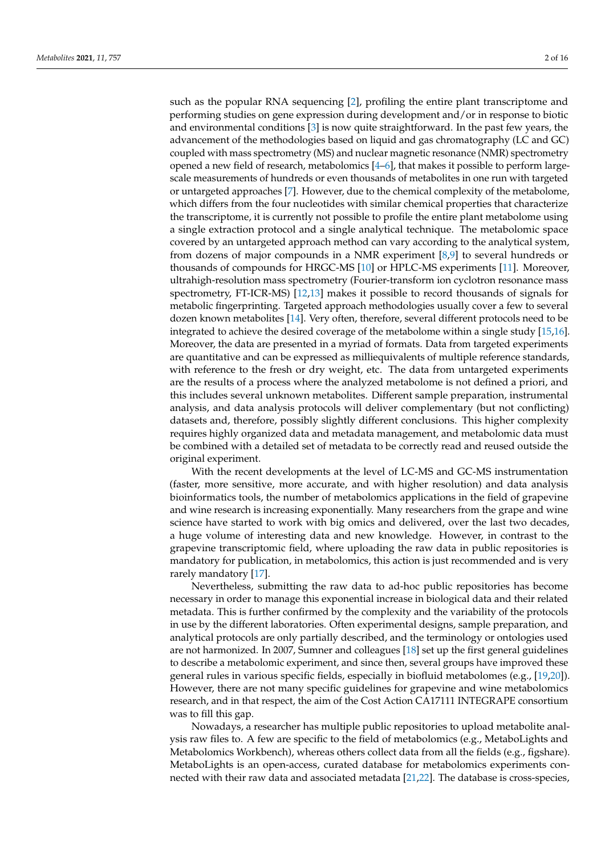such as the popular RNA sequencing [\[2\]](#page-12-1), profiling the entire plant transcriptome and performing studies on gene expression during development and/or in response to biotic and environmental conditions [\[3\]](#page-12-2) is now quite straightforward. In the past few years, the advancement of the methodologies based on liquid and gas chromatography (LC and GC) coupled with mass spectrometry (MS) and nuclear magnetic resonance (NMR) spectrometry opened a new field of research, metabolomics [\[4](#page-12-3)[–6\]](#page-12-4), that makes it possible to perform largescale measurements of hundreds or even thousands of metabolites in one run with targeted or untargeted approaches [\[7\]](#page-12-5). However, due to the chemical complexity of the metabolome, which differs from the four nucleotides with similar chemical properties that characterize the transcriptome, it is currently not possible to profile the entire plant metabolome using a single extraction protocol and a single analytical technique. The metabolomic space covered by an untargeted approach method can vary according to the analytical system, from dozens of major compounds in a NMR experiment [\[8](#page-12-6)[,9\]](#page-13-0) to several hundreds or thousands of compounds for HRGC-MS [\[10\]](#page-13-1) or HPLC-MS experiments [\[11\]](#page-13-2). Moreover, ultrahigh-resolution mass spectrometry (Fourier-transform ion cyclotron resonance mass spectrometry, FT-ICR-MS) [\[12,](#page-13-3)[13\]](#page-13-4) makes it possible to record thousands of signals for metabolic fingerprinting. Targeted approach methodologies usually cover a few to several dozen known metabolites [\[14\]](#page-13-5). Very often, therefore, several different protocols need to be integrated to achieve the desired coverage of the metabolome within a single study [\[15](#page-13-6)[,16\]](#page-13-7). Moreover, the data are presented in a myriad of formats. Data from targeted experiments are quantitative and can be expressed as milliequivalents of multiple reference standards, with reference to the fresh or dry weight, etc. The data from untargeted experiments are the results of a process where the analyzed metabolome is not defined a priori, and this includes several unknown metabolites. Different sample preparation, instrumental analysis, and data analysis protocols will deliver complementary (but not conflicting) datasets and, therefore, possibly slightly different conclusions. This higher complexity requires highly organized data and metadata management, and metabolomic data must be combined with a detailed set of metadata to be correctly read and reused outside the original experiment.

With the recent developments at the level of LC-MS and GC-MS instrumentation (faster, more sensitive, more accurate, and with higher resolution) and data analysis bioinformatics tools, the number of metabolomics applications in the field of grapevine and wine research is increasing exponentially. Many researchers from the grape and wine science have started to work with big omics and delivered, over the last two decades, a huge volume of interesting data and new knowledge. However, in contrast to the grapevine transcriptomic field, where uploading the raw data in public repositories is mandatory for publication, in metabolomics, this action is just recommended and is very rarely mandatory [\[17\]](#page-13-8).

Nevertheless, submitting the raw data to ad-hoc public repositories has become necessary in order to manage this exponential increase in biological data and their related metadata. This is further confirmed by the complexity and the variability of the protocols in use by the different laboratories. Often experimental designs, sample preparation, and analytical protocols are only partially described, and the terminology or ontologies used are not harmonized. In 2007, Sumner and colleagues [\[18\]](#page-13-9) set up the first general guidelines to describe a metabolomic experiment, and since then, several groups have improved these general rules in various specific fields, especially in biofluid metabolomes (e.g., [\[19,](#page-13-10)[20\]](#page-13-11)). However, there are not many specific guidelines for grapevine and wine metabolomics research, and in that respect, the aim of the Cost Action CA17111 INTEGRAPE consortium was to fill this gap.

Nowadays, a researcher has multiple public repositories to upload metabolite analysis raw files to. A few are specific to the field of metabolomics (e.g., MetaboLights and Metabolomics Workbench), whereas others collect data from all the fields (e.g., figshare). MetaboLights is an open-access, curated database for metabolomics experiments connected with their raw data and associated metadata [\[21,](#page-13-12)[22\]](#page-13-13). The database is cross-species,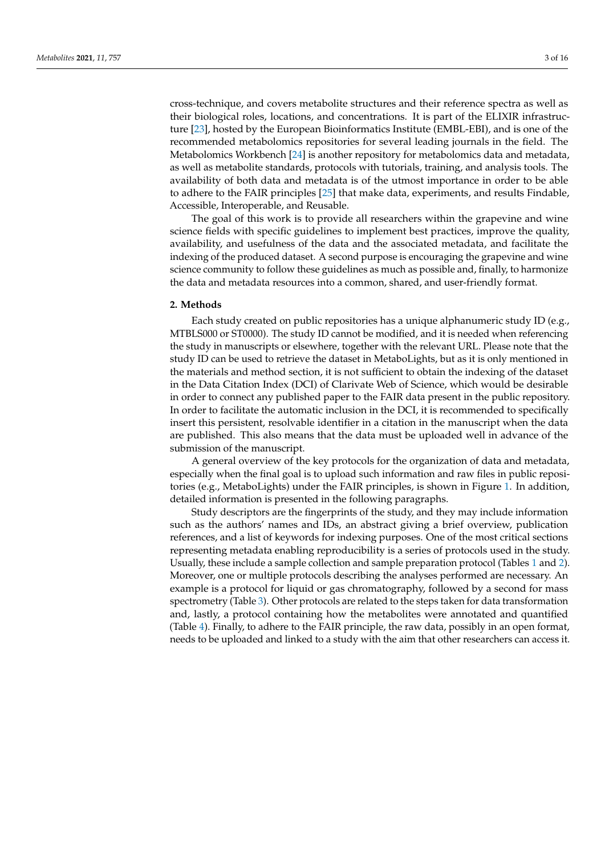cross-technique, and covers metabolite structures and their reference spectra as well as their biological roles, locations, and concentrations. It is part of the ELIXIR infrastructure [\[23\]](#page-13-14), hosted by the European Bioinformatics Institute (EMBL-EBI), and is one of the recommended metabolomics repositories for several leading journals in the field. The Metabolomics Workbench [\[24\]](#page-13-15) is another repository for metabolomics data and metadata, as well as metabolite standards, protocols with tutorials, training, and analysis tools. The availability of both data and metadata is of the utmost importance in order to be able to adhere to the FAIR principles [\[25\]](#page-13-16) that make data, experiments, and results Findable, Accessible, Interoperable, and Reusable.

The goal of this work is to provide all researchers within the grapevine and wine science fields with specific guidelines to implement best practices, improve the quality, availability, and usefulness of the data and the associated metadata, and facilitate the indexing of the produced dataset. A second purpose is encouraging the grapevine and wine science community to follow these guidelines as much as possible and, finally, to harmonize the data and metadata resources into a common, shared, and user-friendly format.

## **2. Methods**

Each study created on public repositories has a unique alphanumeric study ID (e.g., MTBLS000 or ST0000). The study ID cannot be modified, and it is needed when referencing the study in manuscripts or elsewhere, together with the relevant URL. Please note that the study ID can be used to retrieve the dataset in MetaboLights, but as it is only mentioned in the materials and method section, it is not sufficient to obtain the indexing of the dataset in the Data Citation Index (DCI) of Clarivate Web of Science, which would be desirable in order to connect any published paper to the FAIR data present in the public repository. In order to facilitate the automatic inclusion in the DCI, it is recommended to specifically insert this persistent, resolvable identifier in a citation in the manuscript when the data are published. This also means that the data must be uploaded well in advance of the submission of the manuscript.

A general overview of the key protocols for the organization of data and metadata, especially when the final goal is to upload such information and raw files in public repositories (e.g., MetaboLights) under the FAIR principles, is shown in Figure [1.](#page-3-0) In addition, detailed information is presented in the following paragraphs.

Study descriptors are the fingerprints of the study, and they may include information such as the authors' names and IDs, an abstract giving a brief overview, publication references, and a list of keywords for indexing purposes. One of the most critical sections representing metadata enabling reproducibility is a series of protocols used in the study. Usually, these include a sample collection and sample preparation protocol (Tables [1](#page-5-0) and [2\)](#page-5-1). Moreover, one or multiple protocols describing the analyses performed are necessary. An example is a protocol for liquid or gas chromatography, followed by a second for mass spectrometry (Table [3\)](#page-6-0). Other protocols are related to the steps taken for data transformation and, lastly, a protocol containing how the metabolites were annotated and quantified (Table [4\)](#page-7-0). Finally, to adhere to the FAIR principle, the raw data, possibly in an open format, needs to be uploaded and linked to a study with the aim that other researchers can access it.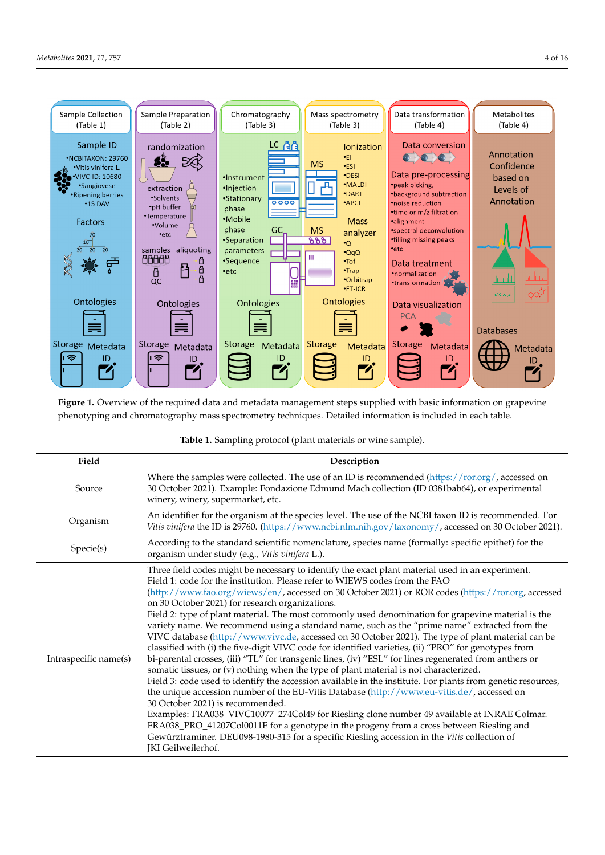<span id="page-3-0"></span>

**Figure 1. Figure 1. Figure 1. Figure 1. Figure 1. Constant Steps supplied to the required in and the steps supplied in the steps supplied with basic included in each table** phenotyping and chromatography mass spectrometry techniques. Detailed information is included in each table. phenotyping and chromatography mass spectrometry techniques. Detailed information is included in each table. **Figure 1.** Overview of the required data and metadata management steps supplied with basic information on grapevine

| Table 1. Sampling protocol (plant materials or wine sample). |  |  |  |
|--------------------------------------------------------------|--|--|--|
|                                                              |  |  |  |

| Field                 | Description                                                                                                                                                                                                                                                                                                                                                                                                                                                                                                                                                                                                                                                                                                                                                                                                                                                                                                                                                                                                                                                                                                                                                                                                                                                                                                                                                                                                                                                                                                                         |  |  |
|-----------------------|-------------------------------------------------------------------------------------------------------------------------------------------------------------------------------------------------------------------------------------------------------------------------------------------------------------------------------------------------------------------------------------------------------------------------------------------------------------------------------------------------------------------------------------------------------------------------------------------------------------------------------------------------------------------------------------------------------------------------------------------------------------------------------------------------------------------------------------------------------------------------------------------------------------------------------------------------------------------------------------------------------------------------------------------------------------------------------------------------------------------------------------------------------------------------------------------------------------------------------------------------------------------------------------------------------------------------------------------------------------------------------------------------------------------------------------------------------------------------------------------------------------------------------------|--|--|
| Source                | Where the samples were collected. The use of an ID is recommended $\frac{h}{h}$ (https://ror.org/, accessed on<br>30 October 2021). Example: Fondazione Edmund Mach collection (ID 0381bab64), or experimental<br>winery, winery, supermarket, etc.                                                                                                                                                                                                                                                                                                                                                                                                                                                                                                                                                                                                                                                                                                                                                                                                                                                                                                                                                                                                                                                                                                                                                                                                                                                                                 |  |  |
| Organism              | An identifier for the organism at the species level. The use of the NCBI taxon ID is recommended. For<br>Vitis vinifera the ID is 29760. (https://www.ncbi.nlm.nih.gov/taxonomy/, accessed on 30 October 2021).                                                                                                                                                                                                                                                                                                                                                                                                                                                                                                                                                                                                                                                                                                                                                                                                                                                                                                                                                                                                                                                                                                                                                                                                                                                                                                                     |  |  |
| Specie(s)             | According to the standard scientific nomenclature, species name (formally: specific epithet) for the<br>organism under study (e.g., Vitis vinifera L.).                                                                                                                                                                                                                                                                                                                                                                                                                                                                                                                                                                                                                                                                                                                                                                                                                                                                                                                                                                                                                                                                                                                                                                                                                                                                                                                                                                             |  |  |
| Intraspecific name(s) | Three field codes might be necessary to identify the exact plant material used in an experiment.<br>Field 1: code for the institution. Please refer to WIEWS codes from the FAO<br>(http://www.fao.org/wiews/en/, accessed on 30 October 2021) or ROR codes (https://ror.org, accessed<br>on 30 October 2021) for research organizations.<br>Field 2: type of plant material. The most commonly used denomination for grapevine material is the<br>variety name. We recommend using a standard name, such as the "prime name" extracted from the<br>VIVC database (http://www.vivc.de, accessed on 30 October 2021). The type of plant material can be<br>classified with (i) the five-digit VIVC code for identified varieties, (ii) "PRO" for genotypes from<br>bi-parental crosses, (iii) "TL" for transgenic lines, (iv) "ESL" for lines regenerated from anthers or<br>somatic tissues, or (v) nothing when the type of plant material is not characterized.<br>Field 3: code used to identify the accession available in the institute. For plants from genetic resources,<br>the unique accession number of the EU-Vitis Database (http://www.eu-vitis.de/, accessed on<br>30 October 2021) is recommended.<br>Examples: FRA038_VIVC10077_274Col49 for Riesling clone number 49 available at INRAE Colmar.<br>FRA038_PRO_41207Col0011E for a genotype in the progeny from a cross between Riesling and<br>Gewürztraminer. DEU098-1980-315 for a specific Riesling accession in the Vitis collection of<br>JKI Geilweilerhof. |  |  |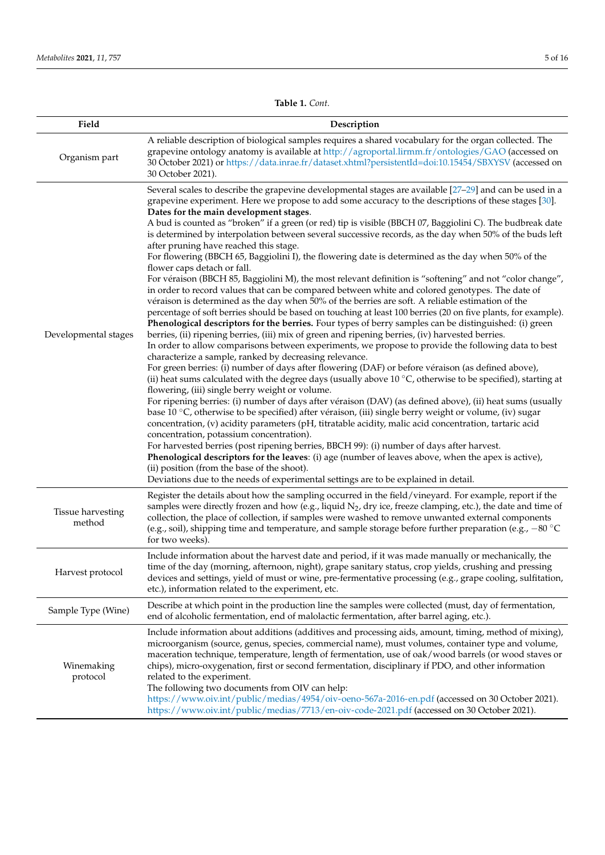**Table 1.** *Cont.*

| Field                              | Description                                                                                                                                                                                                                                                                                                                                                                                                                                                                                                                                                                                                                                                                                                                                                                                                                                                                                                                                                                                                                                                                                                                                                                                                                                                                                                                                                                                                                                                                                                                                                                                                                                                                                                                                                                                                                                                                                                                                                                                                                                                                                                                                                                                                                                                                                                                                                                                                                                                                                    |
|------------------------------------|------------------------------------------------------------------------------------------------------------------------------------------------------------------------------------------------------------------------------------------------------------------------------------------------------------------------------------------------------------------------------------------------------------------------------------------------------------------------------------------------------------------------------------------------------------------------------------------------------------------------------------------------------------------------------------------------------------------------------------------------------------------------------------------------------------------------------------------------------------------------------------------------------------------------------------------------------------------------------------------------------------------------------------------------------------------------------------------------------------------------------------------------------------------------------------------------------------------------------------------------------------------------------------------------------------------------------------------------------------------------------------------------------------------------------------------------------------------------------------------------------------------------------------------------------------------------------------------------------------------------------------------------------------------------------------------------------------------------------------------------------------------------------------------------------------------------------------------------------------------------------------------------------------------------------------------------------------------------------------------------------------------------------------------------------------------------------------------------------------------------------------------------------------------------------------------------------------------------------------------------------------------------------------------------------------------------------------------------------------------------------------------------------------------------------------------------------------------------------------------------|
| Organism part                      | A reliable description of biological samples requires a shared vocabulary for the organ collected. The<br>grapevine ontology anatomy is available at http://agroportal.lirmm.fr/ontologies/GAO (accessed on<br>30 October 2021) or https://data.inrae.fr/dataset.xhtml?persistentId=doi:10.15454/SBXYSV (accessed on<br>30 October 2021).                                                                                                                                                                                                                                                                                                                                                                                                                                                                                                                                                                                                                                                                                                                                                                                                                                                                                                                                                                                                                                                                                                                                                                                                                                                                                                                                                                                                                                                                                                                                                                                                                                                                                                                                                                                                                                                                                                                                                                                                                                                                                                                                                      |
| Developmental stages               | Several scales to describe the grapevine developmental stages are available [27-29] and can be used in a<br>grapevine experiment. Here we propose to add some accuracy to the descriptions of these stages [30].<br>Dates for the main development stages.<br>A bud is counted as "broken" if a green (or red) tip is visible (BBCH 07, Baggiolini C). The budbreak date<br>is determined by interpolation between several successive records, as the day when 50% of the buds left<br>after pruning have reached this stage.<br>For flowering (BBCH 65, Baggiolini I), the flowering date is determined as the day when 50% of the<br>flower caps detach or fall.<br>For véraison (BBCH 85, Baggiolini M), the most relevant definition is "softening" and not "color change",<br>in order to record values that can be compared between white and colored genotypes. The date of<br>véraison is determined as the day when 50% of the berries are soft. A reliable estimation of the<br>percentage of soft berries should be based on touching at least 100 berries (20 on five plants, for example).<br>Phenological descriptors for the berries. Four types of berry samples can be distinguished: (i) green<br>berries, (ii) ripening berries, (iii) mix of green and ripening berries, (iv) harvested berries.<br>In order to allow comparisons between experiments, we propose to provide the following data to best<br>characterize a sample, ranked by decreasing relevance.<br>For green berries: (i) number of days after flowering (DAF) or before véraison (as defined above),<br>(ii) heat sums calculated with the degree days (usually above $10\degree C$ , otherwise to be specified), starting at<br>flowering, (iii) single berry weight or volume.<br>For ripening berries: (i) number of days after véraison (DAV) (as defined above), (ii) heat sums (usually<br>base 10 °C, otherwise to be specified) after véraison, (iii) single berry weight or volume, (iv) sugar<br>concentration, (v) acidity parameters (pH, titratable acidity, malic acid concentration, tartaric acid<br>concentration, potassium concentration).<br>For harvested berries (post ripening berries, BBCH 99): (i) number of days after harvest.<br>Phenological descriptors for the leaves: (i) age (number of leaves above, when the apex is active),<br>(ii) position (from the base of the shoot).<br>Deviations due to the needs of experimental settings are to be explained in detail. |
| <b>Tissue harvesting</b><br>method | Register the details about how the sampling occurred in the field/vineyard. For example, report if the<br>samples were directly frozen and how (e.g., liquid $N_2$ , dry ice, freeze clamping, etc.), the date and time of<br>collection, the place of collection, if samples were washed to remove unwanted external components<br>(e.g., soil), shipping time and temperature, and sample storage before further preparation (e.g., $-80^{\circ}$ C)<br>for two weeks).                                                                                                                                                                                                                                                                                                                                                                                                                                                                                                                                                                                                                                                                                                                                                                                                                                                                                                                                                                                                                                                                                                                                                                                                                                                                                                                                                                                                                                                                                                                                                                                                                                                                                                                                                                                                                                                                                                                                                                                                                      |
| Harvest protocol                   | Include information about the harvest date and period, if it was made manually or mechanically, the<br>time of the day (morning, afternoon, night), grape sanitary status, crop yields, crushing and pressing<br>devices and settings, yield of must or wine, pre-fermentative processing (e.g., grape cooling, sulfitation,<br>etc.), information related to the experiment, etc.                                                                                                                                                                                                                                                                                                                                                                                                                                                                                                                                                                                                                                                                                                                                                                                                                                                                                                                                                                                                                                                                                                                                                                                                                                                                                                                                                                                                                                                                                                                                                                                                                                                                                                                                                                                                                                                                                                                                                                                                                                                                                                             |
| Sample Type (Wine)                 | Describe at which point in the production line the samples were collected (must, day of fermentation,<br>end of alcoholic fermentation, end of malolactic fermentation, after barrel aging, etc.).                                                                                                                                                                                                                                                                                                                                                                                                                                                                                                                                                                                                                                                                                                                                                                                                                                                                                                                                                                                                                                                                                                                                                                                                                                                                                                                                                                                                                                                                                                                                                                                                                                                                                                                                                                                                                                                                                                                                                                                                                                                                                                                                                                                                                                                                                             |
| Winemaking<br>protocol             | Include information about additions (additives and processing aids, amount, timing, method of mixing),<br>microorganism (source, genus, species, commercial name), must volumes, container type and volume,<br>maceration technique, temperature, length of fermentation, use of oak/wood barrels (or wood staves or<br>chips), micro-oxygenation, first or second fermentation, disciplinary if PDO, and other information<br>related to the experiment.<br>The following two documents from OIV can help:<br>https://www.oiv.int/public/medias/4954/oiv-oeno-567a-2016-en.pdf (accessed on 30 October 2021).<br>https://www.oiv.int/public/medias/7713/en-oiv-code-2021.pdf (accessed on 30 October 2021).                                                                                                                                                                                                                                                                                                                                                                                                                                                                                                                                                                                                                                                                                                                                                                                                                                                                                                                                                                                                                                                                                                                                                                                                                                                                                                                                                                                                                                                                                                                                                                                                                                                                                                                                                                                   |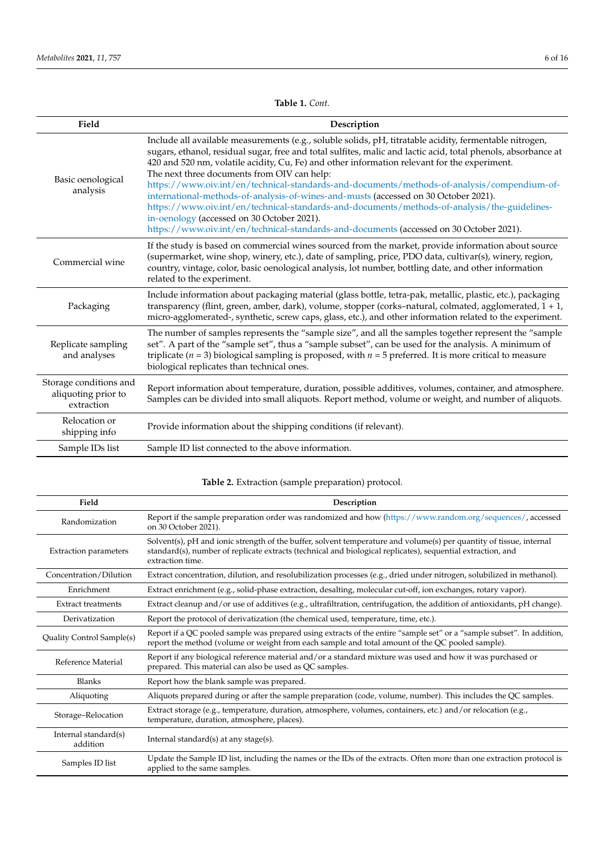<span id="page-5-0"></span>

| Field                                                       | Description                                                                                                                                                                                                                                                                                                                                                                                                                                                                                                                                                                                                                                                                                                                                                                                            |  |  |  |
|-------------------------------------------------------------|--------------------------------------------------------------------------------------------------------------------------------------------------------------------------------------------------------------------------------------------------------------------------------------------------------------------------------------------------------------------------------------------------------------------------------------------------------------------------------------------------------------------------------------------------------------------------------------------------------------------------------------------------------------------------------------------------------------------------------------------------------------------------------------------------------|--|--|--|
| Basic oenological<br>analysis                               | Include all available measurements (e.g., soluble solids, pH, titratable acidity, fermentable nitrogen,<br>sugars, ethanol, residual sugar, free and total sulfites, malic and lactic acid, total phenols, absorbance at<br>420 and 520 nm, volatile acidity, Cu, Fe) and other information relevant for the experiment.<br>The next three documents from OIV can help:<br>https://www.oiv.int/en/technical-standards-and-documents/methods-of-analysis/compendium-of-<br>international-methods-of-analysis-of-wines-and-musts (accessed on 30 October 2021).<br>https://www.oiv.int/en/technical-standards-and-documents/methods-of-analysis/the-guidelines-<br>in-oenology (accessed on 30 October 2021).<br>https://www.oiv.int/en/technical-standards-and-documents (accessed on 30 October 2021). |  |  |  |
| Commercial wine                                             | If the study is based on commercial wines sourced from the market, provide information about source<br>(supermarket, wine shop, winery, etc.), date of sampling, price, PDO data, cultivar(s), winery, region,<br>country, vintage, color, basic oenological analysis, lot number, bottling date, and other information<br>related to the experiment.                                                                                                                                                                                                                                                                                                                                                                                                                                                  |  |  |  |
| Packaging                                                   | Include information about packaging material (glass bottle, tetra-pak, metallic, plastic, etc.), packaging<br>transparency (flint, green, amber, dark), volume, stopper (corks-natural, colmated, agglomerated, 1 + 1,<br>micro-agglomerated-, synthetic, screw caps, glass, etc.), and other information related to the experiment.                                                                                                                                                                                                                                                                                                                                                                                                                                                                   |  |  |  |
| Replicate sampling<br>and analyses                          | The number of samples represents the "sample size", and all the samples together represent the "sample<br>set". A part of the "sample set", thus a "sample subset", can be used for the analysis. A minimum of<br>triplicate ( $n = 3$ ) biological sampling is proposed, with $n = 5$ preferred. It is more critical to measure<br>biological replicates than technical ones.                                                                                                                                                                                                                                                                                                                                                                                                                         |  |  |  |
| Storage conditions and<br>aliquoting prior to<br>extraction | Report information about temperature, duration, possible additives, volumes, container, and atmosphere.<br>Samples can be divided into small aliquots. Report method, volume or weight, and number of aliquots.                                                                                                                                                                                                                                                                                                                                                                                                                                                                                                                                                                                        |  |  |  |
| Relocation or<br>shipping info                              | Provide information about the shipping conditions (if relevant).                                                                                                                                                                                                                                                                                                                                                                                                                                                                                                                                                                                                                                                                                                                                       |  |  |  |
| Sample IDs list                                             | Sample ID list connected to the above information.                                                                                                                                                                                                                                                                                                                                                                                                                                                                                                                                                                                                                                                                                                                                                     |  |  |  |

## **Table 1.** *Cont.*

## **Table 2.** Extraction (sample preparation) protocol.

<span id="page-5-1"></span>

| Field                            | Description                                                                                                                                                                                                                                            |  |  |
|----------------------------------|--------------------------------------------------------------------------------------------------------------------------------------------------------------------------------------------------------------------------------------------------------|--|--|
| Randomization                    | Report if the sample preparation order was randomized and how (https://www.random.org/sequences/, accessed<br>on 30 October 2021).                                                                                                                     |  |  |
| <b>Extraction parameters</b>     | Solvent(s), pH and ionic strength of the buffer, solvent temperature and volume(s) per quantity of tissue, internal<br>standard(s), number of replicate extracts (technical and biological replicates), sequential extraction, and<br>extraction time. |  |  |
| Concentration/Dilution           | Extract concentration, dilution, and resolubilization processes (e.g., dried under nitrogen, solubilized in methanol).                                                                                                                                 |  |  |
| Enrichment                       | Extract enrichment (e.g., solid-phase extraction, desalting, molecular cut-off, ion exchanges, rotary vapor).                                                                                                                                          |  |  |
| <b>Extract treatments</b>        | Extract cleanup and/or use of additives (e.g., ultrafiltration, centrifugation, the addition of antioxidants, $pH$ change).                                                                                                                            |  |  |
| Derivatization                   | Report the protocol of derivatization (the chemical used, temperature, time, etc.).                                                                                                                                                                    |  |  |
| Quality Control Sample(s)        | Report if a QC pooled sample was prepared using extracts of the entire "sample set" or a "sample subset". In addition,<br>report the method (volume or weight from each sample and total amount of the QC pooled sample).                              |  |  |
| Reference Material               | Report if any biological reference material and/or a standard mixture was used and how it was purchased or<br>prepared. This material can also be used as QC samples.                                                                                  |  |  |
| <b>Blanks</b>                    | Report how the blank sample was prepared.                                                                                                                                                                                                              |  |  |
| Aliquoting                       | Aliquots prepared during or after the sample preparation (code, volume, number). This includes the QC samples.                                                                                                                                         |  |  |
| Storage-Relocation               | Extract storage (e.g., temperature, duration, atmosphere, volumes, containers, etc.) and/or relocation (e.g.,<br>temperature, duration, atmosphere, places).                                                                                           |  |  |
| Internal standard(s)<br>addition | Internal standard $(s)$ at any stage $(s)$ .                                                                                                                                                                                                           |  |  |
| Samples ID list                  | Update the Sample ID list, including the names or the IDs of the extracts. Often more than one extraction protocol is<br>applied to the same samples.                                                                                                  |  |  |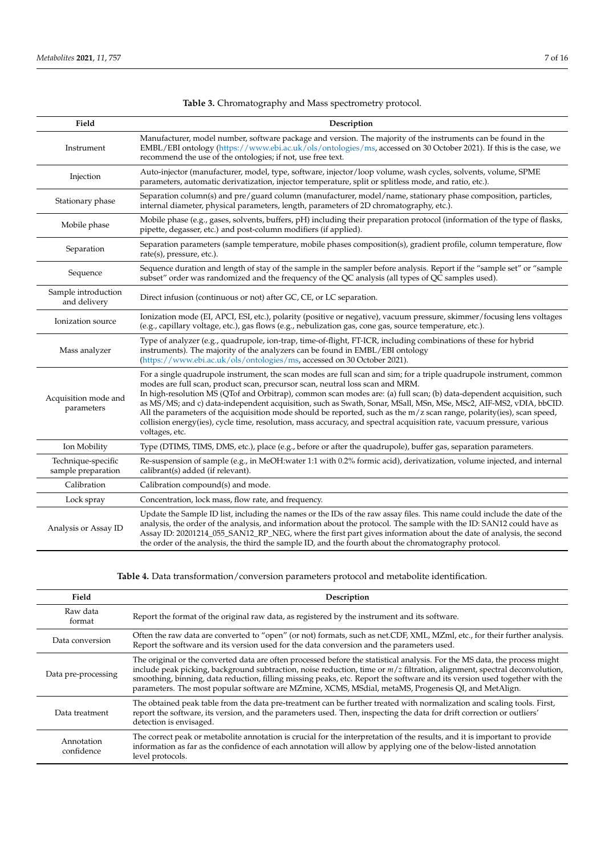<span id="page-6-0"></span>

| Field                                    | Description                                                                                                                                                                                                                                                                                                                                                                                                                                                                                                                                                                                                                                                                                                             |  |  |  |
|------------------------------------------|-------------------------------------------------------------------------------------------------------------------------------------------------------------------------------------------------------------------------------------------------------------------------------------------------------------------------------------------------------------------------------------------------------------------------------------------------------------------------------------------------------------------------------------------------------------------------------------------------------------------------------------------------------------------------------------------------------------------------|--|--|--|
| Instrument                               | Manufacturer, model number, software package and version. The majority of the instruments can be found in the<br>EMBL/EBI ontology (https://www.ebi.ac.uk/ols/ontologies/ms, accessed on 30 October 2021). If this is the case, we<br>recommend the use of the ontologies; if not, use free text.                                                                                                                                                                                                                                                                                                                                                                                                                       |  |  |  |
| Injection                                | Auto-injector (manufacturer, model, type, software, injector/loop volume, wash cycles, solvents, volume, SPME<br>parameters, automatic derivatization, injector temperature, split or splitless mode, and ratio, etc.).                                                                                                                                                                                                                                                                                                                                                                                                                                                                                                 |  |  |  |
| Stationary phase                         | Separation column(s) and pre/guard column (manufacturer, model/name, stationary phase composition, particles,<br>internal diameter, physical parameters, length, parameters of 2D chromatography, etc.).                                                                                                                                                                                                                                                                                                                                                                                                                                                                                                                |  |  |  |
| Mobile phase                             | Mobile phase (e.g., gases, solvents, buffers, pH) including their preparation protocol (information of the type of flasks,<br>pipette, degasser, etc.) and post-column modifiers (if applied).                                                                                                                                                                                                                                                                                                                                                                                                                                                                                                                          |  |  |  |
| Separation                               | Separation parameters (sample temperature, mobile phases composition(s), gradient profile, column temperature, flow<br>$rate(s)$ , pressure, etc.).                                                                                                                                                                                                                                                                                                                                                                                                                                                                                                                                                                     |  |  |  |
| Sequence                                 | Sequence duration and length of stay of the sample in the sampler before analysis. Report if the "sample set" or "sample<br>subset" order was randomized and the frequency of the QC analysis (all types of QC samples used).                                                                                                                                                                                                                                                                                                                                                                                                                                                                                           |  |  |  |
| Sample introduction<br>and delivery      | Direct infusion (continuous or not) after GC, CE, or LC separation.                                                                                                                                                                                                                                                                                                                                                                                                                                                                                                                                                                                                                                                     |  |  |  |
| Ionization source                        | Ionization mode (EI, APCI, ESI, etc.), polarity (positive or negative), vacuum pressure, skimmer/focusing lens voltages<br>(e.g., capillary voltage, etc.), gas flows (e.g., nebulization gas, cone gas, source temperature, etc.).                                                                                                                                                                                                                                                                                                                                                                                                                                                                                     |  |  |  |
| Mass analyzer                            | Type of analyzer (e.g., quadrupole, ion-trap, time-of-flight, FT-ICR, including combinations of these for hybrid<br>instruments). The majority of the analyzers can be found in EMBL/EBI ontology<br>(https://www.ebi.ac.uk/ols/ontologies/ms, accessed on 30 October 2021).                                                                                                                                                                                                                                                                                                                                                                                                                                            |  |  |  |
| Acquisition mode and<br>parameters       | For a single quadrupole instrument, the scan modes are full scan and sim; for a triple quadrupole instrument, common<br>modes are full scan, product scan, precursor scan, neutral loss scan and MRM.<br>In high-resolution MS (QTof and Orbitrap), common scan modes are: (a) full scan; (b) data-dependent acquisition, such<br>as MS/MS; and c) data-independent acquisition, such as Swath, Sonar, MSall, MSn, MSe, MSc2, AIF-MS2, vDIA, bbCID.<br>All the parameters of the acquisition mode should be reported, such as the m/z scan range, polarity(ies), scan speed,<br>collision energy(ies), cycle time, resolution, mass accuracy, and spectral acquisition rate, vacuum pressure, various<br>voltages, etc. |  |  |  |
| Ion Mobility                             | Type (DTIMS, TIMS, DMS, etc.), place (e.g., before or after the quadrupole), buffer gas, separation parameters.                                                                                                                                                                                                                                                                                                                                                                                                                                                                                                                                                                                                         |  |  |  |
| Technique-specific<br>sample preparation | Re-suspension of sample (e.g., in MeOH:water 1:1 with 0.2% formic acid), derivatization, volume injected, and internal<br>calibrant(s) added (if relevant).                                                                                                                                                                                                                                                                                                                                                                                                                                                                                                                                                             |  |  |  |
| Calibration                              | Calibration compound(s) and mode.                                                                                                                                                                                                                                                                                                                                                                                                                                                                                                                                                                                                                                                                                       |  |  |  |
| Lock spray                               | Concentration, lock mass, flow rate, and frequency.                                                                                                                                                                                                                                                                                                                                                                                                                                                                                                                                                                                                                                                                     |  |  |  |
| Analysis or Assay ID                     | Update the Sample ID list, including the names or the IDs of the raw assay files. This name could include the date of the<br>analysis, the order of the analysis, and information about the protocol. The sample with the ID: SAN12 could have as<br>Assay ID: 20201214_055_SAN12_RP_NEG, where the first part gives information about the date of analysis, the second<br>the order of the analysis, the third the sample ID, and the fourth about the chromatography protocol.                                                                                                                                                                                                                                        |  |  |  |

# **Table 3.** Chromatography and Mass spectrometry protocol.

**Table 4.** Data transformation/conversion parameters protocol and metabolite identification.

| Field                    | Description                                                                                                                                                                                                                                                                                                                                                                                                                                                                                     |
|--------------------------|-------------------------------------------------------------------------------------------------------------------------------------------------------------------------------------------------------------------------------------------------------------------------------------------------------------------------------------------------------------------------------------------------------------------------------------------------------------------------------------------------|
| Raw data<br>format       | Report the format of the original raw data, as registered by the instrument and its software.                                                                                                                                                                                                                                                                                                                                                                                                   |
| Data conversion          | Often the raw data are converted to "open" (or not) formats, such as net.CDF, XML, MZml, etc., for their further analysis.<br>Report the software and its version used for the data conversion and the parameters used.                                                                                                                                                                                                                                                                         |
| Data pre-processing      | The original or the converted data are often processed before the statistical analysis. For the MS data, the process might<br>include peak picking, background subtraction, noise reduction, time or $m/z$ filtration, alignment, spectral deconvolution,<br>smoothing, binning, data reduction, filling missing peaks, etc. Report the software and its version used together with the<br>parameters. The most popular software are MZmine, XCMS, MSdial, metaMS, Progenesis QI, and MetAlign. |
| Data treatment           | The obtained peak table from the data pre-treatment can be further treated with normalization and scaling tools. First,<br>report the software, its version, and the parameters used. Then, inspecting the data for drift correction or outliers'<br>detection is envisaged.                                                                                                                                                                                                                    |
| Annotation<br>confidence | The correct peak or metabolite annotation is crucial for the interpretation of the results, and it is important to provide<br>information as far as the confidence of each annotation will allow by applying one of the below-listed annotation<br>level protocols.                                                                                                                                                                                                                             |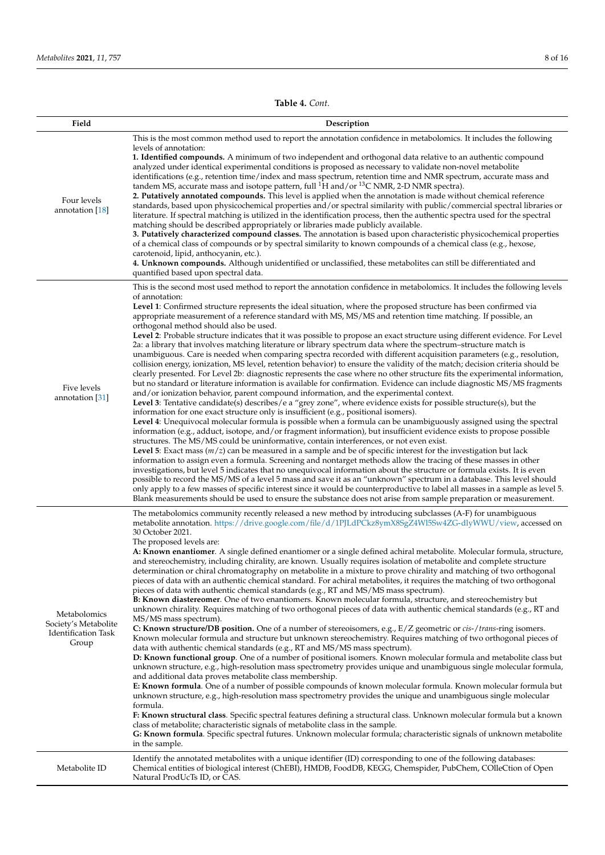**Table 4.** *Cont.*

<span id="page-7-0"></span>

| Field                                                                | Description                                                                                                                                                                                                                                                                                                                                                                                                                                                                                                                                                                                                                                                                                                                                                                                                                                                                                                                                                                                                                                                                                                                                                                                                                                                                                                                                                                                                                                                                                                                                                                                                                                                                                                                                                                                                                                                                                                                                                                                                                                                                                                                                                                                                                                                                                                                                                                                                                                                                                                                                                                                           |
|----------------------------------------------------------------------|-------------------------------------------------------------------------------------------------------------------------------------------------------------------------------------------------------------------------------------------------------------------------------------------------------------------------------------------------------------------------------------------------------------------------------------------------------------------------------------------------------------------------------------------------------------------------------------------------------------------------------------------------------------------------------------------------------------------------------------------------------------------------------------------------------------------------------------------------------------------------------------------------------------------------------------------------------------------------------------------------------------------------------------------------------------------------------------------------------------------------------------------------------------------------------------------------------------------------------------------------------------------------------------------------------------------------------------------------------------------------------------------------------------------------------------------------------------------------------------------------------------------------------------------------------------------------------------------------------------------------------------------------------------------------------------------------------------------------------------------------------------------------------------------------------------------------------------------------------------------------------------------------------------------------------------------------------------------------------------------------------------------------------------------------------------------------------------------------------------------------------------------------------------------------------------------------------------------------------------------------------------------------------------------------------------------------------------------------------------------------------------------------------------------------------------------------------------------------------------------------------------------------------------------------------------------------------------------------------|
| Four levels<br>annotation $[18]$                                     | This is the most common method used to report the annotation confidence in metabolomics. It includes the following<br>levels of annotation:<br>1. Identified compounds. A minimum of two independent and orthogonal data relative to an authentic compound<br>analyzed under identical experimental conditions is proposed as necessary to validate non-novel metabolite<br>identifications (e.g., retention time/index and mass spectrum, retention time and NMR spectrum, accurate mass and<br>tandem MS, accurate mass and isotope pattern, full <sup>1</sup> H and/or <sup>13</sup> C NMR, 2-D NMR spectra).<br>2. Putatively annotated compounds. This level is applied when the annotation is made without chemical reference<br>standards, based upon physicochemical properties and/or spectral similarity with public/commercial spectral libraries or<br>literature. If spectral matching is utilized in the identification process, then the authentic spectra used for the spectral<br>matching should be described appropriately or libraries made publicly available.<br>3. Putatively characterized compound classes. The annotation is based upon characteristic physicochemical properties<br>of a chemical class of compounds or by spectral similarity to known compounds of a chemical class (e.g., hexose,<br>carotenoid, lipid, anthocyanin, etc.).<br>4. Unknown compounds. Although unidentified or unclassified, these metabolites can still be differentiated and<br>quantified based upon spectral data.                                                                                                                                                                                                                                                                                                                                                                                                                                                                                                                                                                                                                                                                                                                                                                                                                                                                                                                                                                                                                                                                   |
| Five levels<br>annotation [31]                                       | This is the second most used method to report the annotation confidence in metabolomics. It includes the following levels<br>of annotation:<br>Level 1: Confirmed structure represents the ideal situation, where the proposed structure has been confirmed via<br>appropriate measurement of a reference standard with MS, MS/MS and retention time matching. If possible, an<br>orthogonal method should also be used.<br>Level 2: Probable structure indicates that it was possible to propose an exact structure using different evidence. For Level<br>2a: a library that involves matching literature or library spectrum data where the spectrum-structure match is<br>unambiguous. Care is needed when comparing spectra recorded with different acquisition parameters (e.g., resolution,<br>collision energy, ionization, MS level, retention behavior) to ensure the validity of the match; decision criteria should be<br>clearly presented. For Level 2b: diagnostic represents the case where no other structure fits the experimental information,<br>but no standard or literature information is available for confirmation. Evidence can include diagnostic MS/MS fragments<br>and/or ionization behavior, parent compound information, and the experimental context.<br>Level 3: Tentative candidate(s) describes/e a "grey zone", where evidence exists for possible structure(s), but the<br>information for one exact structure only is insufficient (e.g., positional isomers).<br>Level 4: Unequivocal molecular formula is possible when a formula can be unambiguously assigned using the spectral<br>information (e.g., adduct, isotope, and/or fragment information), but insufficient evidence exists to propose possible<br>structures. The MS/MS could be uninformative, contain interferences, or not even exist.<br>Level 5: Exact mass $(m/z)$ can be measured in a sample and be of specific interest for the investigation but lack<br>information to assign even a formula. Screening and nontarget methods allow the tracing of these masses in other<br>investigations, but level 5 indicates that no unequivocal information about the structure or formula exists. It is even<br>possible to record the MS/MS of a level 5 mass and save it as an "unknown" spectrum in a database. This level should<br>only apply to a few masses of specific interest since it would be counterproductive to label all masses in a sample as level 5.<br>Blank measurements should be used to ensure the substance does not arise from sample preparation or measurement. |
| Metabolomics<br>Society's Metabolite<br>Identification Task<br>Group | The metabolomics community recently released a new method by introducing subclasses (A-F) for unambiguous<br>metabolite annotation. https://drive.google.com/file/d/1PJLdPCkz8ymX8SgZ4Wl5Sw4ZG-dlyWWU/view, accessed on<br>30 October 2021.<br>The proposed levels are:<br>A: Known enantiomer. A single defined enantiomer or a single defined achiral metabolite. Molecular formula, structure,<br>and stereochemistry, including chirality, are known. Usually requires isolation of metabolite and complete structure<br>determination or chiral chromatography on metabolite in a mixture to prove chirality and matching of two orthogonal<br>pieces of data with an authentic chemical standard. For achiral metabolites, it requires the matching of two orthogonal<br>pieces of data with authentic chemical standards (e.g., RT and MS/MS mass spectrum).<br><b>B: Known diastereomer</b> . One of two enantiomers. Known molecular formula, structure, and stereochemistry but<br>unknown chirality. Requires matching of two orthogonal pieces of data with authentic chemical standards (e.g., RT and<br>MS/MS mass spectrum).<br>C: Known structure/DB position. One of a number of stereoisomers, e.g., $E/Z$ geometric or <i>cis-/trans-ring</i> isomers.<br>Known molecular formula and structure but unknown stereochemistry. Requires matching of two orthogonal pieces of<br>data with authentic chemical standards (e.g., RT and MS/MS mass spectrum).<br>D: Known functional group. One of a number of positional isomers. Known molecular formula and metabolite class but<br>unknown structure, e.g., high-resolution mass spectrometry provides unique and unambiguous single molecular formula,<br>and additional data proves metabolite class membership.<br>E: Known formula. One of a number of possible compounds of known molecular formula. Known molecular formula but<br>unknown structure, e.g., high-resolution mass spectrometry provides the unique and unambiguous single molecular<br>formula.<br>F: Known structural class. Specific spectral features defining a structural class. Unknown molecular formula but a known<br>class of metabolite; characteristic signals of metabolite class in the sample.<br>G: Known formula. Specific spectral futures. Unknown molecular formula; characteristic signals of unknown metabolite<br>in the sample.                                                                                                                                                                                                        |
| Metabolite ID                                                        | Identify the annotated metabolites with a unique identifier (ID) corresponding to one of the following databases:<br>Chemical entities of biological interest (ChEBI), HMDB, FoodDB, KEGG, Chemspider, PubChem, COlleCtion of Open<br>Natural ProdUcTs ID, or CAS.                                                                                                                                                                                                                                                                                                                                                                                                                                                                                                                                                                                                                                                                                                                                                                                                                                                                                                                                                                                                                                                                                                                                                                                                                                                                                                                                                                                                                                                                                                                                                                                                                                                                                                                                                                                                                                                                                                                                                                                                                                                                                                                                                                                                                                                                                                                                    |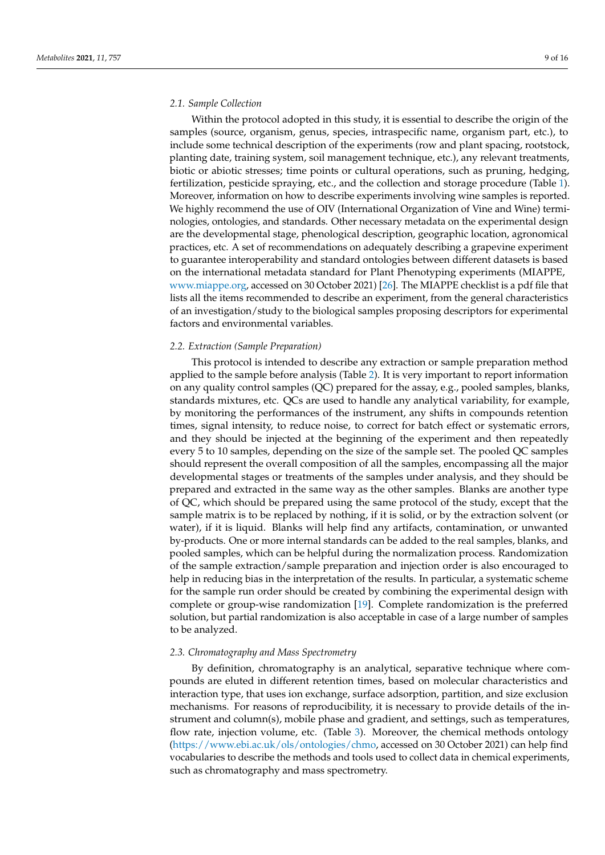#### *2.1. Sample Collection*

Within the protocol adopted in this study, it is essential to describe the origin of the samples (source, organism, genus, species, intraspecific name, organism part, etc.), to include some technical description of the experiments (row and plant spacing, rootstock, planting date, training system, soil management technique, etc.), any relevant treatments, biotic or abiotic stresses; time points or cultural operations, such as pruning, hedging, fertilization, pesticide spraying, etc., and the collection and storage procedure (Table [1\)](#page-5-0). Moreover, information on how to describe experiments involving wine samples is reported. We highly recommend the use of OIV (International Organization of Vine and Wine) terminologies, ontologies, and standards. Other necessary metadata on the experimental design are the developmental stage, phenological description, geographic location, agronomical practices, etc. A set of recommendations on adequately describing a grapevine experiment to guarantee interoperability and standard ontologies between different datasets is based on the international metadata standard for Plant Phenotyping experiments (MIAPPE, [www.miappe.org,](www.miappe.org) accessed on 30 October 2021) [\[26\]](#page-13-20). The MIAPPE checklist is a pdf file that lists all the items recommended to describe an experiment, from the general characteristics of an investigation/study to the biological samples proposing descriptors for experimental factors and environmental variables.

#### *2.2. Extraction (Sample Preparation)*

This protocol is intended to describe any extraction or sample preparation method applied to the sample before analysis (Table [2\)](#page-5-1). It is very important to report information on any quality control samples (QC) prepared for the assay, e.g., pooled samples, blanks, standards mixtures, etc. QCs are used to handle any analytical variability, for example, by monitoring the performances of the instrument, any shifts in compounds retention times, signal intensity, to reduce noise, to correct for batch effect or systematic errors, and they should be injected at the beginning of the experiment and then repeatedly every 5 to 10 samples, depending on the size of the sample set. The pooled QC samples should represent the overall composition of all the samples, encompassing all the major developmental stages or treatments of the samples under analysis, and they should be prepared and extracted in the same way as the other samples. Blanks are another type of QC, which should be prepared using the same protocol of the study, except that the sample matrix is to be replaced by nothing, if it is solid, or by the extraction solvent (or water), if it is liquid. Blanks will help find any artifacts, contamination, or unwanted by-products. One or more internal standards can be added to the real samples, blanks, and pooled samples, which can be helpful during the normalization process. Randomization of the sample extraction/sample preparation and injection order is also encouraged to help in reducing bias in the interpretation of the results. In particular, a systematic scheme for the sample run order should be created by combining the experimental design with complete or group-wise randomization [\[19\]](#page-13-10). Complete randomization is the preferred solution, but partial randomization is also acceptable in case of a large number of samples to be analyzed.

#### *2.3. Chromatography and Mass Spectrometry*

By definition, chromatography is an analytical, separative technique where compounds are eluted in different retention times, based on molecular characteristics and interaction type, that uses ion exchange, surface adsorption, partition, and size exclusion mechanisms. For reasons of reproducibility, it is necessary to provide details of the instrument and column(s), mobile phase and gradient, and settings, such as temperatures, flow rate, injection volume, etc. (Table [3\)](#page-6-0). Moreover, the chemical methods ontology [\(https://www.ebi.ac.uk/ols/ontologies/chmo,](https://www.ebi.ac.uk/ols/ontologies/chmo) accessed on 30 October 2021) can help find vocabularies to describe the methods and tools used to collect data in chemical experiments, such as chromatography and mass spectrometry.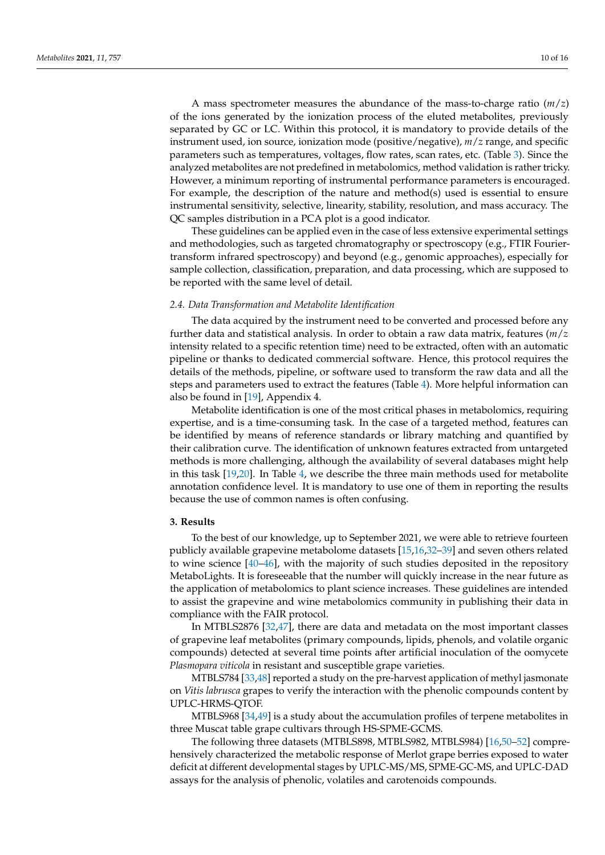A mass spectrometer measures the abundance of the mass-to-charge ratio (*m*/*z*) of the ions generated by the ionization process of the eluted metabolites, previously separated by GC or LC. Within this protocol, it is mandatory to provide details of the instrument used, ion source, ionization mode (positive/negative), *m*/*z* range, and specific parameters such as temperatures, voltages, flow rates, scan rates, etc. (Table [3\)](#page-6-0). Since the analyzed metabolites are not predefined in metabolomics, method validation is rather tricky. However, a minimum reporting of instrumental performance parameters is encouraged. For example, the description of the nature and method(s) used is essential to ensure instrumental sensitivity, selective, linearity, stability, resolution, and mass accuracy. The QC samples distribution in a PCA plot is a good indicator.

These guidelines can be applied even in the case of less extensive experimental settings and methodologies, such as targeted chromatography or spectroscopy (e.g., FTIR Fouriertransform infrared spectroscopy) and beyond (e.g., genomic approaches), especially for sample collection, classification, preparation, and data processing, which are supposed to be reported with the same level of detail.

#### *2.4. Data Transformation and Metabolite Identification*

The data acquired by the instrument need to be converted and processed before any further data and statistical analysis. In order to obtain a raw data matrix, features (*m*/*z* intensity related to a specific retention time) need to be extracted, often with an automatic pipeline or thanks to dedicated commercial software. Hence, this protocol requires the details of the methods, pipeline, or software used to transform the raw data and all the steps and parameters used to extract the features (Table [4\)](#page-7-0). More helpful information can also be found in [\[19\]](#page-13-10), Appendix 4.

Metabolite identification is one of the most critical phases in metabolomics, requiring expertise, and is a time-consuming task. In the case of a targeted method, features can be identified by means of reference standards or library matching and quantified by their calibration curve. The identification of unknown features extracted from untargeted methods is more challenging, although the availability of several databases might help in this task [\[19](#page-13-10)[,20\]](#page-13-11). In Table [4,](#page-7-0) we describe the three main methods used for metabolite annotation confidence level. It is mandatory to use one of them in reporting the results because the use of common names is often confusing.

#### **3. Results**

To the best of our knowledge, up to September 2021, we were able to retrieve fourteen publicly available grapevine metabolome datasets [\[15,](#page-13-6)[16,](#page-13-7)[32](#page-14-1)[–39\]](#page-14-2) and seven others related to wine science [\[40](#page-14-3)[–46\]](#page-14-4), with the majority of such studies deposited in the repository MetaboLights. It is foreseeable that the number will quickly increase in the near future as the application of metabolomics to plant science increases. These guidelines are intended to assist the grapevine and wine metabolomics community in publishing their data in compliance with the FAIR protocol.

In MTBLS2876 [\[32](#page-14-1)[,47\]](#page-14-5), there are data and metadata on the most important classes of grapevine leaf metabolites (primary compounds, lipids, phenols, and volatile organic compounds) detected at several time points after artificial inoculation of the oomycete *Plasmopara viticola* in resistant and susceptible grape varieties.

MTBLS784 [\[33,](#page-14-6)[48\]](#page-14-7) reported a study on the pre-harvest application of methyl jasmonate on *Vitis labrusca* grapes to verify the interaction with the phenolic compounds content by UPLC-HRMS-QTOF.

MTBLS968 [\[34,](#page-14-8)[49\]](#page-14-9) is a study about the accumulation profiles of terpene metabolites in three Muscat table grape cultivars through HS-SPME-GCMS.

The following three datasets (MTBLS898, MTBLS982, MTBLS984) [\[16](#page-13-7)[,50–](#page-14-10)[52\]](#page-14-11) comprehensively characterized the metabolic response of Merlot grape berries exposed to water deficit at different developmental stages by UPLC-MS/MS, SPME-GC-MS, and UPLC-DAD assays for the analysis of phenolic, volatiles and carotenoids compounds.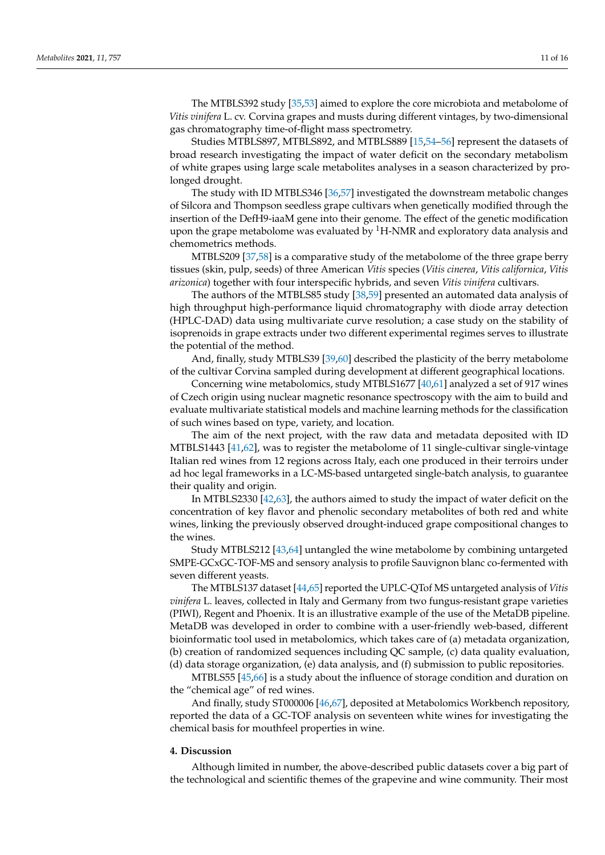The MTBLS392 study [\[35](#page-14-12)[,53\]](#page-15-0) aimed to explore the core microbiota and metabolome of *Vitis vinifera* L. cv. Corvina grapes and musts during different vintages, by two-dimensional gas chromatography time-of-flight mass spectrometry.

Studies MTBLS897, MTBLS892, and MTBLS889 [\[15,](#page-13-6)[54](#page-15-1)[–56\]](#page-15-2) represent the datasets of broad research investigating the impact of water deficit on the secondary metabolism of white grapes using large scale metabolites analyses in a season characterized by prolonged drought.

The study with ID MTBLS346 [\[36](#page-14-13)[,57\]](#page-15-3) investigated the downstream metabolic changes of Silcora and Thompson seedless grape cultivars when genetically modified through the insertion of the DefH9-iaaM gene into their genome. The effect of the genetic modification upon the grape metabolome was evaluated by  ${}^{1}$ H-NMR and exploratory data analysis and chemometrics methods.

MTBLS209 [\[37](#page-14-14)[,58\]](#page-15-4) is a comparative study of the metabolome of the three grape berry tissues (skin, pulp, seeds) of three American *Vitis* species (*Vitis cinerea*, *Vitis californica*, *Vitis arizonica*) together with four interspecific hybrids, and seven *Vitis vinifera* cultivars.

The authors of the MTBLS85 study [\[38,](#page-14-15)[59\]](#page-15-5) presented an automated data analysis of high throughput high-performance liquid chromatography with diode array detection (HPLC-DAD) data using multivariate curve resolution; a case study on the stability of isoprenoids in grape extracts under two different experimental regimes serves to illustrate the potential of the method.

And, finally, study MTBLS39 [\[39,](#page-14-2)[60\]](#page-15-6) described the plasticity of the berry metabolome of the cultivar Corvina sampled during development at different geographical locations.

Concerning wine metabolomics, study MTBLS1677 [\[40](#page-14-3)[,61\]](#page-15-7) analyzed a set of 917 wines of Czech origin using nuclear magnetic resonance spectroscopy with the aim to build and evaluate multivariate statistical models and machine learning methods for the classification of such wines based on type, variety, and location.

The aim of the next project, with the raw data and metadata deposited with ID MTBLS1443 [\[41](#page-14-16)[,62\]](#page-15-8), was to register the metabolome of 11 single-cultivar single-vintage Italian red wines from 12 regions across Italy, each one produced in their terroirs under ad hoc legal frameworks in a LC-MS-based untargeted single-batch analysis, to guarantee their quality and origin.

In MTBLS2330 [\[42](#page-14-17)[,63\]](#page-15-9), the authors aimed to study the impact of water deficit on the concentration of key flavor and phenolic secondary metabolites of both red and white wines, linking the previously observed drought-induced grape compositional changes to the wines.

Study MTBLS212 [\[43,](#page-14-18)[64\]](#page-15-10) untangled the wine metabolome by combining untargeted SMPE-GCxGC-TOF-MS and sensory analysis to profile Sauvignon blanc co-fermented with seven different yeasts.

The MTBLS137 dataset [\[44](#page-14-19)[,65\]](#page-15-11) reported the UPLC-QTof MS untargeted analysis of *Vitis vinifera* L. leaves, collected in Italy and Germany from two fungus-resistant grape varieties (PIWI), Regent and Phoenix. It is an illustrative example of the use of the MetaDB pipeline. MetaDB was developed in order to combine with a user-friendly web-based, different bioinformatic tool used in metabolomics, which takes care of (a) metadata organization, (b) creation of randomized sequences including QC sample, (c) data quality evaluation, (d) data storage organization, (e) data analysis, and (f) submission to public repositories.

MTBLS55 [\[45,](#page-14-20)[66\]](#page-15-12) is a study about the influence of storage condition and duration on the "chemical age" of red wines.

And finally, study ST000006 [\[46](#page-14-4)[,67\]](#page-15-13), deposited at Metabolomics Workbench repository, reported the data of a GC-TOF analysis on seventeen white wines for investigating the chemical basis for mouthfeel properties in wine.

#### **4. Discussion**

Although limited in number, the above-described public datasets cover a big part of the technological and scientific themes of the grapevine and wine community. Their most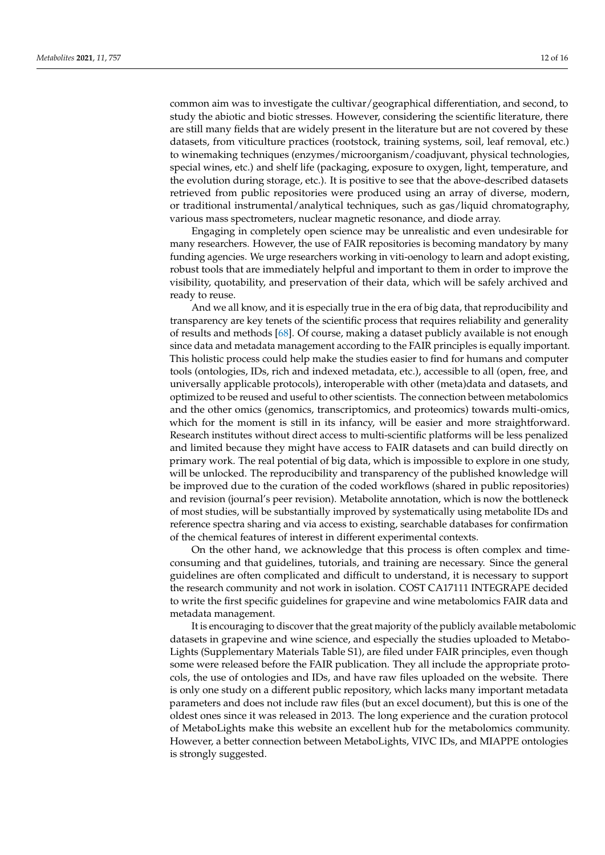common aim was to investigate the cultivar/geographical differentiation, and second, to study the abiotic and biotic stresses. However, considering the scientific literature, there are still many fields that are widely present in the literature but are not covered by these datasets, from viticulture practices (rootstock, training systems, soil, leaf removal, etc.) to winemaking techniques (enzymes/microorganism/coadjuvant, physical technologies, special wines, etc.) and shelf life (packaging, exposure to oxygen, light, temperature, and the evolution during storage, etc.). It is positive to see that the above-described datasets retrieved from public repositories were produced using an array of diverse, modern, or traditional instrumental/analytical techniques, such as gas/liquid chromatography, various mass spectrometers, nuclear magnetic resonance, and diode array.

Engaging in completely open science may be unrealistic and even undesirable for many researchers. However, the use of FAIR repositories is becoming mandatory by many funding agencies. We urge researchers working in viti-oenology to learn and adopt existing, robust tools that are immediately helpful and important to them in order to improve the visibility, quotability, and preservation of their data, which will be safely archived and ready to reuse.

And we all know, and it is especially true in the era of big data, that reproducibility and transparency are key tenets of the scientific process that requires reliability and generality of results and methods [\[68\]](#page-15-14). Of course, making a dataset publicly available is not enough since data and metadata management according to the FAIR principles is equally important. This holistic process could help make the studies easier to find for humans and computer tools (ontologies, IDs, rich and indexed metadata, etc.), accessible to all (open, free, and universally applicable protocols), interoperable with other (meta)data and datasets, and optimized to be reused and useful to other scientists. The connection between metabolomics and the other omics (genomics, transcriptomics, and proteomics) towards multi-omics, which for the moment is still in its infancy, will be easier and more straightforward. Research institutes without direct access to multi-scientific platforms will be less penalized and limited because they might have access to FAIR datasets and can build directly on primary work. The real potential of big data, which is impossible to explore in one study, will be unlocked. The reproducibility and transparency of the published knowledge will be improved due to the curation of the coded workflows (shared in public repositories) and revision (journal's peer revision). Metabolite annotation, which is now the bottleneck of most studies, will be substantially improved by systematically using metabolite IDs and reference spectra sharing and via access to existing, searchable databases for confirmation of the chemical features of interest in different experimental contexts.

On the other hand, we acknowledge that this process is often complex and timeconsuming and that guidelines, tutorials, and training are necessary. Since the general guidelines are often complicated and difficult to understand, it is necessary to support the research community and not work in isolation. COST CA17111 INTEGRAPE decided to write the first specific guidelines for grapevine and wine metabolomics FAIR data and metadata management.

It is encouraging to discover that the great majority of the publicly available metabolomic datasets in grapevine and wine science, and especially the studies uploaded to Metabo-Lights (Supplementary Materials Table S1), are filed under FAIR principles, even though some were released before the FAIR publication. They all include the appropriate protocols, the use of ontologies and IDs, and have raw files uploaded on the website. There is only one study on a different public repository, which lacks many important metadata parameters and does not include raw files (but an excel document), but this is one of the oldest ones since it was released in 2013. The long experience and the curation protocol of MetaboLights make this website an excellent hub for the metabolomics community. However, a better connection between MetaboLights, VIVC IDs, and MIAPPE ontologies is strongly suggested.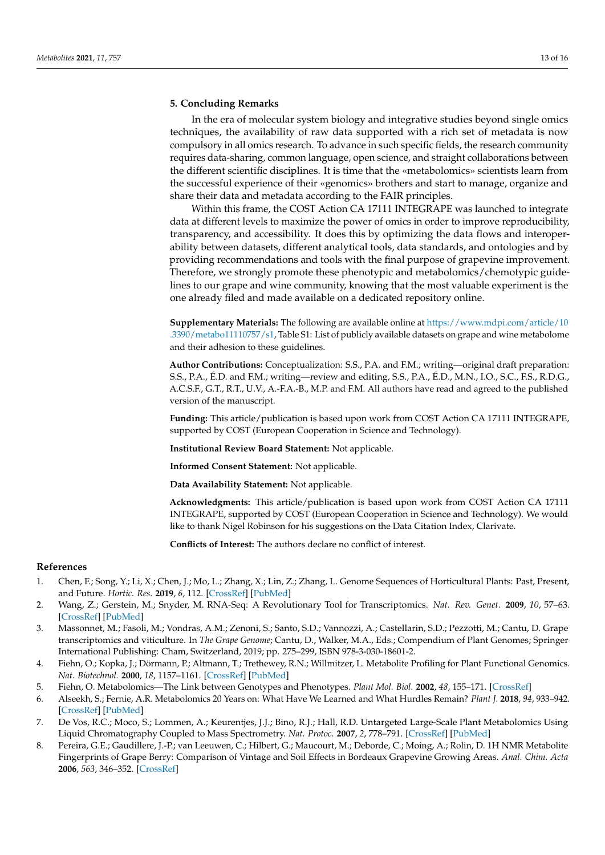## **5. Concluding Remarks**

In the era of molecular system biology and integrative studies beyond single omics techniques, the availability of raw data supported with a rich set of metadata is now compulsory in all omics research. To advance in such specific fields, the research community requires data-sharing, common language, open science, and straight collaborations between the different scientific disciplines. It is time that the «metabolomics» scientists learn from the successful experience of their «genomics» brothers and start to manage, organize and share their data and metadata according to the FAIR principles.

Within this frame, the COST Action CA 17111 INTEGRAPE was launched to integrate data at different levels to maximize the power of omics in order to improve reproducibility, transparency, and accessibility. It does this by optimizing the data flows and interoperability between datasets, different analytical tools, data standards, and ontologies and by providing recommendations and tools with the final purpose of grapevine improvement. Therefore, we strongly promote these phenotypic and metabolomics/chemotypic guidelines to our grape and wine community, knowing that the most valuable experiment is the one already filed and made available on a dedicated repository online.

**Supplementary Materials:** The following are available online at [https://www.mdpi.com/article/10](https://www.mdpi.com/article/10.3390/metabo11110757/s1) [.3390/metabo11110757/s1,](https://www.mdpi.com/article/10.3390/metabo11110757/s1) Table S1: List of publicly available datasets on grape and wine metabolome and their adhesion to these guidelines.

**Author Contributions:** Conceptualization: S.S., P.A. and F.M.; writing—original draft preparation: S.S., P.A., É.D. and F.M.; writing—review and editing, S.S., P.A., É.D., M.N., I.O., S.C., F.S., R.D.G., A.C.S.F., G.T., R.T., U.V., A.-F.A.-B., M.P. and F.M. All authors have read and agreed to the published version of the manuscript.

**Funding:** This article/publication is based upon work from COST Action CA 17111 INTEGRAPE, supported by COST (European Cooperation in Science and Technology).

**Institutional Review Board Statement:** Not applicable.

**Informed Consent Statement:** Not applicable.

**Data Availability Statement:** Not applicable.

**Acknowledgments:** This article/publication is based upon work from COST Action CA 17111 INTEGRAPE, supported by COST (European Cooperation in Science and Technology). We would like to thank Nigel Robinson for his suggestions on the Data Citation Index, Clarivate.

**Conflicts of Interest:** The authors declare no conflict of interest.

#### **References**

- <span id="page-12-0"></span>1. Chen, F.; Song, Y.; Li, X.; Chen, J.; Mo, L.; Zhang, X.; Lin, Z.; Zhang, L. Genome Sequences of Horticultural Plants: Past, Present, and Future. *Hortic. Res.* **2019**, *6*, 112. [\[CrossRef\]](http://doi.org/10.1038/s41438-019-0195-6) [\[PubMed\]](http://www.ncbi.nlm.nih.gov/pubmed/31645966)
- <span id="page-12-1"></span>2. Wang, Z.; Gerstein, M.; Snyder, M. RNA-Seq: A Revolutionary Tool for Transcriptomics. *Nat. Rev. Genet.* **2009**, *10*, 57–63. [\[CrossRef\]](http://doi.org/10.1038/nrg2484) [\[PubMed\]](http://www.ncbi.nlm.nih.gov/pubmed/19015660)
- <span id="page-12-2"></span>3. Massonnet, M.; Fasoli, M.; Vondras, A.M.; Zenoni, S.; Santo, S.D.; Vannozzi, A.; Castellarin, S.D.; Pezzotti, M.; Cantu, D. Grape transcriptomics and viticulture. In *The Grape Genome*; Cantu, D., Walker, M.A., Eds.; Compendium of Plant Genomes; Springer International Publishing: Cham, Switzerland, 2019; pp. 275–299, ISBN 978-3-030-18601-2.
- <span id="page-12-3"></span>4. Fiehn, O.; Kopka, J.; Dörmann, P.; Altmann, T.; Trethewey, R.N.; Willmitzer, L. Metabolite Profiling for Plant Functional Genomics. *Nat. Biotechnol.* **2000**, *18*, 1157–1161. [\[CrossRef\]](http://doi.org/10.1038/81137) [\[PubMed\]](http://www.ncbi.nlm.nih.gov/pubmed/11062433)
- 5. Fiehn, O. Metabolomics—The Link between Genotypes and Phenotypes. *Plant Mol. Biol.* **2002**, *48*, 155–171. [\[CrossRef\]](http://doi.org/10.1023/A:1013713905833)
- <span id="page-12-4"></span>6. Alseekh, S.; Fernie, A.R. Metabolomics 20 Years on: What Have We Learned and What Hurdles Remain? *Plant J.* **2018**, *94*, 933–942. [\[CrossRef\]](http://doi.org/10.1111/tpj.13950) [\[PubMed\]](http://www.ncbi.nlm.nih.gov/pubmed/29734513)
- <span id="page-12-5"></span>7. De Vos, R.C.; Moco, S.; Lommen, A.; Keurentjes, J.J.; Bino, R.J.; Hall, R.D. Untargeted Large-Scale Plant Metabolomics Using Liquid Chromatography Coupled to Mass Spectrometry. *Nat. Protoc.* **2007**, *2*, 778–791. [\[CrossRef\]](http://doi.org/10.1038/nprot.2007.95) [\[PubMed\]](http://www.ncbi.nlm.nih.gov/pubmed/17446877)
- <span id="page-12-6"></span>8. Pereira, G.E.; Gaudillere, J.-P.; van Leeuwen, C.; Hilbert, G.; Maucourt, M.; Deborde, C.; Moing, A.; Rolin, D. 1H NMR Metabolite Fingerprints of Grape Berry: Comparison of Vintage and Soil Effects in Bordeaux Grapevine Growing Areas. *Anal. Chim. Acta* **2006**, *563*, 346–352. [\[CrossRef\]](http://doi.org/10.1016/j.aca.2005.11.007)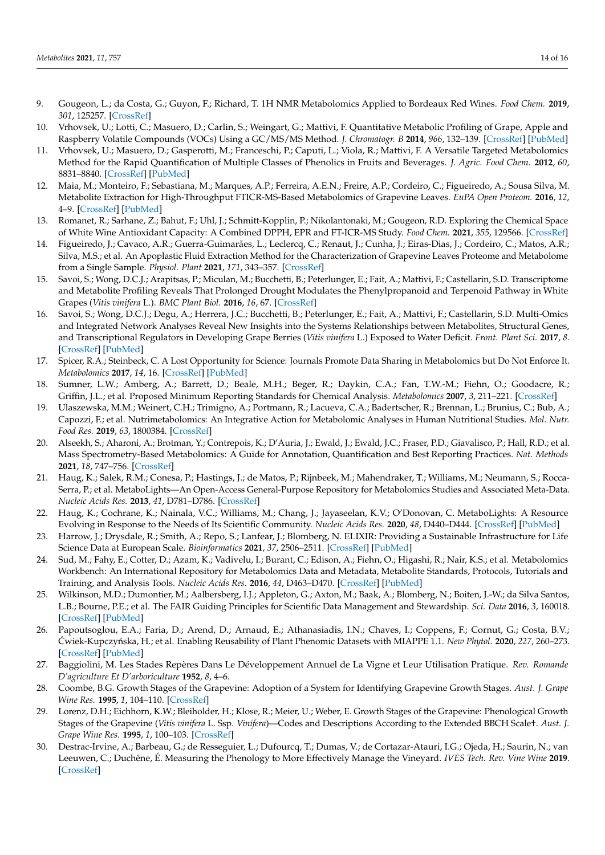- <span id="page-13-0"></span>9. Gougeon, L.; da Costa, G.; Guyon, F.; Richard, T. 1H NMR Metabolomics Applied to Bordeaux Red Wines. *Food Chem.* **2019**, *301*, 125257. [\[CrossRef\]](http://doi.org/10.1016/j.foodchem.2019.125257)
- <span id="page-13-1"></span>10. Vrhovsek, U.; Lotti, C.; Masuero, D.; Carlin, S.; Weingart, G.; Mattivi, F. Quantitative Metabolic Profiling of Grape, Apple and Raspberry Volatile Compounds (VOCs) Using a GC/MS/MS Method. *J. Chromatogr. B* **2014**, *966*, 132–139. [\[CrossRef\]](http://doi.org/10.1016/j.jchromb.2014.01.009) [\[PubMed\]](http://www.ncbi.nlm.nih.gov/pubmed/24484892)
- <span id="page-13-2"></span>11. Vrhovsek, U.; Masuero, D.; Gasperotti, M.; Franceschi, P.; Caputi, L.; Viola, R.; Mattivi, F. A Versatile Targeted Metabolomics Method for the Rapid Quantification of Multiple Classes of Phenolics in Fruits and Beverages. *J. Agric. Food Chem.* **2012**, *60*, 8831–8840. [\[CrossRef\]](http://doi.org/10.1021/jf2051569) [\[PubMed\]](http://www.ncbi.nlm.nih.gov/pubmed/22468648)
- <span id="page-13-3"></span>12. Maia, M.; Monteiro, F.; Sebastiana, M.; Marques, A.P.; Ferreira, A.E.N.; Freire, A.P.; Cordeiro, C.; Figueiredo, A.; Sousa Silva, M. Metabolite Extraction for High-Throughput FTICR-MS-Based Metabolomics of Grapevine Leaves. *EuPA Open Proteom.* **2016**, *12*, 4–9. [\[CrossRef\]](http://doi.org/10.1016/j.euprot.2016.03.002) [\[PubMed\]](http://www.ncbi.nlm.nih.gov/pubmed/29900113)
- <span id="page-13-4"></span>13. Romanet, R.; Sarhane, Z.; Bahut, F.; Uhl, J.; Schmitt-Kopplin, P.; Nikolantonaki, M.; Gougeon, R.D. Exploring the Chemical Space of White Wine Antioxidant Capacity: A Combined DPPH, EPR and FT-ICR-MS Study. *Food Chem.* **2021**, *355*, 129566. [\[CrossRef\]](http://doi.org/10.1016/j.foodchem.2021.129566)
- <span id="page-13-5"></span>14. Figueiredo, J.; Cavaco, A.R.; Guerra-Guimarães, L.; Leclercq, C.; Renaut, J.; Cunha, J.; Eiras-Dias, J.; Cordeiro, C.; Matos, A.R.; Silva, M.S.; et al. An Apoplastic Fluid Extraction Method for the Characterization of Grapevine Leaves Proteome and Metabolome from a Single Sample. *Physiol. Plant* **2021**, *171*, 343–357. [\[CrossRef\]](http://doi.org/10.1111/ppl.13198)
- <span id="page-13-6"></span>15. Savoi, S.; Wong, D.C.J.; Arapitsas, P.; Miculan, M.; Bucchetti, B.; Peterlunger, E.; Fait, A.; Mattivi, F.; Castellarin, S.D. Transcriptome and Metabolite Profiling Reveals That Prolonged Drought Modulates the Phenylpropanoid and Terpenoid Pathway in White Grapes (*Vitis vinifera* L.). *BMC Plant Biol.* **2016**, *16*, 67. [\[CrossRef\]](http://doi.org/10.1186/s12870-016-0760-1)
- <span id="page-13-7"></span>16. Savoi, S.; Wong, D.C.J.; Degu, A.; Herrera, J.C.; Bucchetti, B.; Peterlunger, E.; Fait, A.; Mattivi, F.; Castellarin, S.D. Multi-Omics and Integrated Network Analyses Reveal New Insights into the Systems Relationships between Metabolites, Structural Genes, and Transcriptional Regulators in Developing Grape Berries (*Vitis vinifera* L.) Exposed to Water Deficit. *Front. Plant Sci.* **2017**, *8*. [\[CrossRef\]](http://doi.org/10.3389/fpls.2017.01124) [\[PubMed\]](http://www.ncbi.nlm.nih.gov/pubmed/28740499)
- <span id="page-13-8"></span>17. Spicer, R.A.; Steinbeck, C. A Lost Opportunity for Science: Journals Promote Data Sharing in Metabolomics but Do Not Enforce It. *Metabolomics* **2017**, *14*, 16. [\[CrossRef\]](http://doi.org/10.1007/s11306-017-1309-5) [\[PubMed\]](http://www.ncbi.nlm.nih.gov/pubmed/29479297)
- <span id="page-13-9"></span>18. Sumner, L.W.; Amberg, A.; Barrett, D.; Beale, M.H.; Beger, R.; Daykin, C.A.; Fan, T.W.-M.; Fiehn, O.; Goodacre, R.; Griffin, J.L.; et al. Proposed Minimum Reporting Standards for Chemical Analysis. *Metabolomics* **2007**, *3*, 211–221. [\[CrossRef\]](http://doi.org/10.1007/s11306-007-0082-2)
- <span id="page-13-10"></span>19. Ulaszewska, M.M.; Weinert, C.H.; Trimigno, A.; Portmann, R.; Lacueva, C.A.; Badertscher, R.; Brennan, L.; Brunius, C.; Bub, A.; Capozzi, F.; et al. Nutrimetabolomics: An Integrative Action for Metabolomic Analyses in Human Nutritional Studies. *Mol. Nutr. Food Res.* **2019**, *63*, 1800384. [\[CrossRef\]](http://doi.org/10.1002/mnfr.201800384)
- <span id="page-13-11"></span>20. Alseekh, S.; Aharoni, A.; Brotman, Y.; Contrepois, K.; D'Auria, J.; Ewald, J.; Ewald, J.C.; Fraser, P.D.; Giavalisco, P.; Hall, R.D.; et al. Mass Spectrometry-Based Metabolomics: A Guide for Annotation, Quantification and Best Reporting Practices. *Nat. Methods* **2021**, *18*, 747–756. [\[CrossRef\]](http://doi.org/10.1038/s41592-021-01197-1)
- <span id="page-13-12"></span>21. Haug, K.; Salek, R.M.; Conesa, P.; Hastings, J.; de Matos, P.; Rijnbeek, M.; Mahendraker, T.; Williams, M.; Neumann, S.; Rocca-Serra, P.; et al. MetaboLights—An Open-Access General-Purpose Repository for Metabolomics Studies and Associated Meta-Data. *Nucleic Acids Res.* **2013**, *41*, D781–D786. [\[CrossRef\]](http://doi.org/10.1093/nar/gks1004)
- <span id="page-13-13"></span>22. Haug, K.; Cochrane, K.; Nainala, V.C.; Williams, M.; Chang, J.; Jayaseelan, K.V.; O'Donovan, C. MetaboLights: A Resource Evolving in Response to the Needs of Its Scientific Community. *Nucleic Acids Res.* **2020**, *48*, D440–D444. [\[CrossRef\]](http://doi.org/10.1093/nar/gkz1019) [\[PubMed\]](http://www.ncbi.nlm.nih.gov/pubmed/31691833)
- <span id="page-13-14"></span>23. Harrow, J.; Drysdale, R.; Smith, A.; Repo, S.; Lanfear, J.; Blomberg, N. ELIXIR: Providing a Sustainable Infrastructure for Life Science Data at European Scale. *Bioinformatics* **2021**, *37*, 2506–2511. [\[CrossRef\]](http://doi.org/10.1093/bioinformatics/btab481) [\[PubMed\]](http://www.ncbi.nlm.nih.gov/pubmed/34175941)
- <span id="page-13-15"></span>24. Sud, M.; Fahy, E.; Cotter, D.; Azam, K.; Vadivelu, I.; Burant, C.; Edison, A.; Fiehn, O.; Higashi, R.; Nair, K.S.; et al. Metabolomics Workbench: An International Repository for Metabolomics Data and Metadata, Metabolite Standards, Protocols, Tutorials and Training, and Analysis Tools. *Nucleic Acids Res.* **2016**, *44*, D463–D470. [\[CrossRef\]](http://doi.org/10.1093/nar/gkv1042) [\[PubMed\]](http://www.ncbi.nlm.nih.gov/pubmed/26467476)
- <span id="page-13-16"></span>25. Wilkinson, M.D.; Dumontier, M.; Aalbersberg, I.J.; Appleton, G.; Axton, M.; Baak, A.; Blomberg, N.; Boiten, J.-W.; da Silva Santos, L.B.; Bourne, P.E.; et al. The FAIR Guiding Principles for Scientific Data Management and Stewardship. *Sci. Data* **2016**, *3*, 160018. [\[CrossRef\]](http://doi.org/10.1038/sdata.2016.18) [\[PubMed\]](http://www.ncbi.nlm.nih.gov/pubmed/26978244)
- <span id="page-13-20"></span>26. Papoutsoglou, E.A.; Faria, D.; Arend, D.; Arnaud, E.; Athanasiadis, I.N.; Chaves, I.; Coppens, F.; Cornut, G.; Costa, B.V.; Cwiek-Kupczy ´nska, H.; et al. Enabling Reusability of Plant Phenomic Datasets with MIAPPE 1.1. ´ *New Phytol.* **2020**, *227*, 260–273. [\[CrossRef\]](http://doi.org/10.1111/nph.16544) [\[PubMed\]](http://www.ncbi.nlm.nih.gov/pubmed/32171029)
- <span id="page-13-17"></span>27. Baggiolini, M. Les Stades Repères Dans Le Développement Annuel de La Vigne et Leur Utilisation Pratique. *Rev. Romande D'agriculture Et D'arboriculture* **1952**, *8*, 4–6.
- 28. Coombe, B.G. Growth Stages of the Grapevine: Adoption of a System for Identifying Grapevine Growth Stages. *Aust. J. Grape Wine Res.* **1995**, *1*, 104–110. [\[CrossRef\]](http://doi.org/10.1111/j.1755-0238.1995.tb00086.x)
- <span id="page-13-18"></span>29. Lorenz, D.H.; Eichhorn, K.W.; Bleiholder, H.; Klose, R.; Meier, U.; Weber, E. Growth Stages of the Grapevine: Phenological Growth Stages of the Grapevine (*Vitis vinifera* L. Ssp. *Vinifera*)—Codes and Descriptions According to the Extended BBCH Scale†. *Aust. J. Grape Wine Res.* **1995**, *1*, 100–103. [\[CrossRef\]](http://doi.org/10.1111/j.1755-0238.1995.tb00085.x)
- <span id="page-13-19"></span>30. Destrac-Irvine, A.; Barbeau, G.; de Resseguier, L.; Dufourcq, T.; Dumas, V.; de Cortazar-Atauri, I.G.; Ojeda, H.; Saurin, N.; van Leeuwen, C.; Duchêne, É. Measuring the Phenology to More Effectively Manage the Vineyard. *IVES Tech. Rev. Vine Wine* **2019**. [\[CrossRef\]](http://doi.org/10.20870/IVES-TR.2019.2586)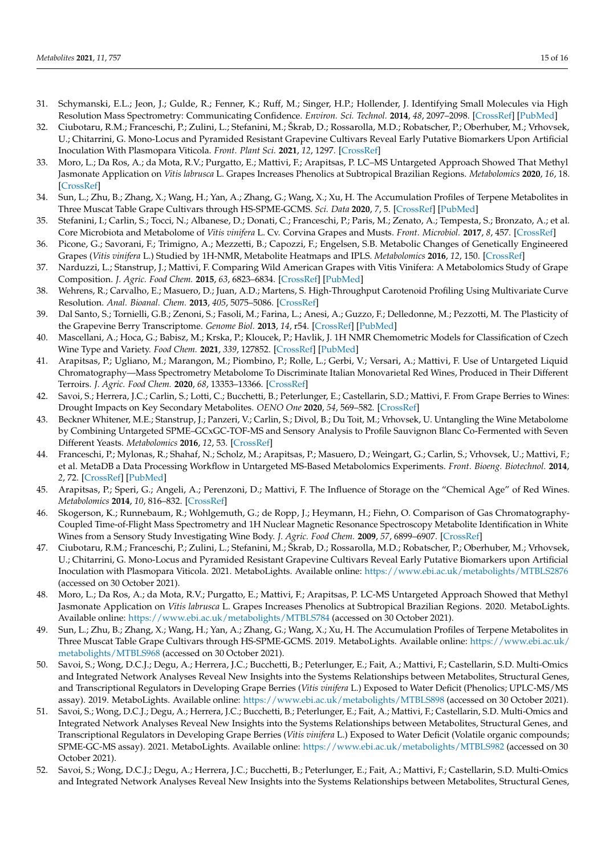- <span id="page-14-0"></span>31. Schymanski, E.L.; Jeon, J.; Gulde, R.; Fenner, K.; Ruff, M.; Singer, H.P.; Hollender, J. Identifying Small Molecules via High Resolution Mass Spectrometry: Communicating Confidence. *Environ. Sci. Technol.* **2014**, *48*, 2097–2098. [\[CrossRef\]](http://doi.org/10.1021/es5002105) [\[PubMed\]](http://www.ncbi.nlm.nih.gov/pubmed/24476540)
- <span id="page-14-1"></span>32. Ciubotaru, R.M.; Franceschi, P.; Zulini, L.; Stefanini, M.; Škrab, D.; Rossarolla, M.D.; Robatscher, P.; Oberhuber, M.; Vrhovsek, U.; Chitarrini, G. Mono-Locus and Pyramided Resistant Grapevine Cultivars Reveal Early Putative Biomarkers Upon Artificial Inoculation With Plasmopara Viticola. *Front. Plant Sci.* **2021**, *12*, 1297. [\[CrossRef\]](http://doi.org/10.3389/fpls.2021.693887)
- <span id="page-14-6"></span>33. Moro, L.; Da Ros, A.; da Mota, R.V.; Purgatto, E.; Mattivi, F.; Arapitsas, P. LC–MS Untargeted Approach Showed That Methyl Jasmonate Application on *Vitis labrusca* L. Grapes Increases Phenolics at Subtropical Brazilian Regions. *Metabolomics* **2020**, *16*, 18. [\[CrossRef\]](http://doi.org/10.1007/s11306-020-1641-z)
- <span id="page-14-8"></span>34. Sun, L.; Zhu, B.; Zhang, X.; Wang, H.; Yan, A.; Zhang, G.; Wang, X.; Xu, H. The Accumulation Profiles of Terpene Metabolites in Three Muscat Table Grape Cultivars through HS-SPME-GCMS. *Sci. Data* **2020**, *7*, 5. [\[CrossRef\]](http://doi.org/10.1038/s41597-019-0321-1) [\[PubMed\]](http://www.ncbi.nlm.nih.gov/pubmed/31896793)
- <span id="page-14-12"></span>35. Stefanini, I.; Carlin, S.; Tocci, N.; Albanese, D.; Donati, C.; Franceschi, P.; Paris, M.; Zenato, A.; Tempesta, S.; Bronzato, A.; et al. Core Microbiota and Metabolome of *Vitis vinifera* L. Cv. Corvina Grapes and Musts. *Front. Microbiol.* **2017**, *8*, 457. [\[CrossRef\]](http://doi.org/10.3389/fmicb.2017.00457)
- <span id="page-14-13"></span>36. Picone, G.; Savorani, F.; Trimigno, A.; Mezzetti, B.; Capozzi, F.; Engelsen, S.B. Metabolic Changes of Genetically Engineered Grapes (*Vitis vinifera* L.) Studied by 1H-NMR, Metabolite Heatmaps and IPLS. *Metabolomics* **2016**, *12*, 150. [\[CrossRef\]](http://doi.org/10.1007/s11306-016-1095-5)
- <span id="page-14-14"></span>37. Narduzzi, L.; Stanstrup, J.; Mattivi, F. Comparing Wild American Grapes with Vitis Vinifera: A Metabolomics Study of Grape Composition. *J. Agric. Food Chem.* **2015**, *63*, 6823–6834. [\[CrossRef\]](http://doi.org/10.1021/acs.jafc.5b01999) [\[PubMed\]](http://www.ncbi.nlm.nih.gov/pubmed/26158394)
- <span id="page-14-15"></span>38. Wehrens, R.; Carvalho, E.; Masuero, D.; Juan, A.D.; Martens, S. High-Throughput Carotenoid Profiling Using Multivariate Curve Resolution. *Anal. Bioanal. Chem.* **2013**, *405*, 5075–5086. [\[CrossRef\]](http://doi.org/10.1007/s00216-012-6555-9)
- <span id="page-14-2"></span>39. Dal Santo, S.; Tornielli, G.B.; Zenoni, S.; Fasoli, M.; Farina, L.; Anesi, A.; Guzzo, F.; Delledonne, M.; Pezzotti, M. The Plasticity of the Grapevine Berry Transcriptome. *Genome Biol.* **2013**, *14*, r54. [\[CrossRef\]](http://doi.org/10.1186/gb-2013-14-6-r54) [\[PubMed\]](http://www.ncbi.nlm.nih.gov/pubmed/23759170)
- <span id="page-14-3"></span>40. Mascellani, A.; Hoca, G.; Babisz, M.; Krska, P.; Kloucek, P.; Havlik, J. 1H NMR Chemometric Models for Classification of Czech Wine Type and Variety. *Food Chem.* **2021**, *339*, 127852. [\[CrossRef\]](http://doi.org/10.1016/j.foodchem.2020.127852) [\[PubMed\]](http://www.ncbi.nlm.nih.gov/pubmed/32889133)
- <span id="page-14-16"></span>41. Arapitsas, P.; Ugliano, M.; Marangon, M.; Piombino, P.; Rolle, L.; Gerbi, V.; Versari, A.; Mattivi, F. Use of Untargeted Liquid Chromatography—Mass Spectrometry Metabolome To Discriminate Italian Monovarietal Red Wines, Produced in Their Different Terroirs. *J. Agric. Food Chem.* **2020**, *68*, 13353–13366. [\[CrossRef\]](http://doi.org/10.1021/acs.jafc.0c00879)
- <span id="page-14-17"></span>42. Savoi, S.; Herrera, J.C.; Carlin, S.; Lotti, C.; Bucchetti, B.; Peterlunger, E.; Castellarin, S.D.; Mattivi, F. From Grape Berries to Wines: Drought Impacts on Key Secondary Metabolites. *OENO One* **2020**, *54*, 569–582. [\[CrossRef\]](http://doi.org/10.20870/oeno-one.2020.54.3.3093)
- <span id="page-14-18"></span>43. Beckner Whitener, M.E.; Stanstrup, J.; Panzeri, V.; Carlin, S.; Divol, B.; Du Toit, M.; Vrhovsek, U. Untangling the Wine Metabolome by Combining Untargeted SPME–GCxGC-TOF-MS and Sensory Analysis to Profile Sauvignon Blanc Co-Fermented with Seven Different Yeasts. *Metabolomics* **2016**, *12*, 53. [\[CrossRef\]](http://doi.org/10.1007/s11306-016-0962-4)
- <span id="page-14-19"></span>44. Franceschi, P.; Mylonas, R.; Shahaf, N.; Scholz, M.; Arapitsas, P.; Masuero, D.; Weingart, G.; Carlin, S.; Vrhovsek, U.; Mattivi, F.; et al. MetaDB a Data Processing Workflow in Untargeted MS-Based Metabolomics Experiments. *Front. Bioeng. Biotechnol.* **2014**, *2*, 72. [\[CrossRef\]](http://doi.org/10.3389/fbioe.2014.00072) [\[PubMed\]](http://www.ncbi.nlm.nih.gov/pubmed/25566535)
- <span id="page-14-20"></span>45. Arapitsas, P.; Speri, G.; Angeli, A.; Perenzoni, D.; Mattivi, F. The Influence of Storage on the "Chemical Age" of Red Wines. *Metabolomics* **2014**, *10*, 816–832. [\[CrossRef\]](http://doi.org/10.1007/s11306-014-0638-x)
- <span id="page-14-4"></span>46. Skogerson, K.; Runnebaum, R.; Wohlgemuth, G.; de Ropp, J.; Heymann, H.; Fiehn, O. Comparison of Gas Chromatography-Coupled Time-of-Flight Mass Spectrometry and 1H Nuclear Magnetic Resonance Spectroscopy Metabolite Identification in White Wines from a Sensory Study Investigating Wine Body. *J. Agric. Food Chem.* **2009**, *57*, 6899–6907. [\[CrossRef\]](http://doi.org/10.1021/jf9019322)
- <span id="page-14-5"></span>47. Ciubotaru, R.M.; Franceschi, P.; Zulini, L.; Stefanini, M.; Škrab, D.; Rossarolla, M.D.; Robatscher, P.; Oberhuber, M.; Vrhovsek, U.; Chitarrini, G. Mono-Locus and Pyramided Resistant Grapevine Cultivars Reveal Early Putative Biomarkers upon Artificial Inoculation with Plasmopara Viticola. 2021. MetaboLights. Available online: <https://www.ebi.ac.uk/metabolights/MTBLS2876> (accessed on 30 October 2021).
- <span id="page-14-7"></span>48. Moro, L.; Da Ros, A.; da Mota, R.V.; Purgatto, E.; Mattivi, F.; Arapitsas, P. LC-MS Untargeted Approach Showed that Methyl Jasmonate Application on *Vitis labrusca* L. Grapes Increases Phenolics at Subtropical Brazilian Regions. 2020. MetaboLights. Available online: <https://www.ebi.ac.uk/metabolights/MTBLS784> (accessed on 30 October 2021).
- <span id="page-14-9"></span>49. Sun, L.; Zhu, B.; Zhang, X.; Wang, H.; Yan, A.; Zhang, G.; Wang, X.; Xu, H. The Accumulation Profiles of Terpene Metabolites in Three Muscat Table Grape Cultivars through HS-SPME-GCMS. 2019. MetaboLights. Available online: [https://www.ebi.ac.uk/](https://www.ebi.ac.uk/metabolights/MTBLS968) [metabolights/MTBLS968](https://www.ebi.ac.uk/metabolights/MTBLS968) (accessed on 30 October 2021).
- <span id="page-14-10"></span>50. Savoi, S.; Wong, D.C.J.; Degu, A.; Herrera, J.C.; Bucchetti, B.; Peterlunger, E.; Fait, A.; Mattivi, F.; Castellarin, S.D. Multi-Omics and Integrated Network Analyses Reveal New Insights into the Systems Relationships between Metabolites, Structural Genes, and Transcriptional Regulators in Developing Grape Berries (*Vitis vinifera* L.) Exposed to Water Deficit (Phenolics; UPLC-MS/MS assay). 2019. MetaboLights. Available online: <https://www.ebi.ac.uk/metabolights/MTBLS898> (accessed on 30 October 2021).
- 51. Savoi, S.; Wong, D.C.J.; Degu, A.; Herrera, J.C.; Bucchetti, B.; Peterlunger, E.; Fait, A.; Mattivi, F.; Castellarin, S.D. Multi-Omics and Integrated Network Analyses Reveal New Insights into the Systems Relationships between Metabolites, Structural Genes, and Transcriptional Regulators in Developing Grape Berries (*Vitis vinifera* L.) Exposed to Water Deficit (Volatile organic compounds; SPME-GC-MS assay). 2021. MetaboLights. Available online: <https://www.ebi.ac.uk/metabolights/MTBLS982> (accessed on 30 October 2021).
- <span id="page-14-11"></span>52. Savoi, S.; Wong, D.C.J.; Degu, A.; Herrera, J.C.; Bucchetti, B.; Peterlunger, E.; Fait, A.; Mattivi, F.; Castellarin, S.D. Multi-Omics and Integrated Network Analyses Reveal New Insights into the Systems Relationships between Metabolites, Structural Genes,